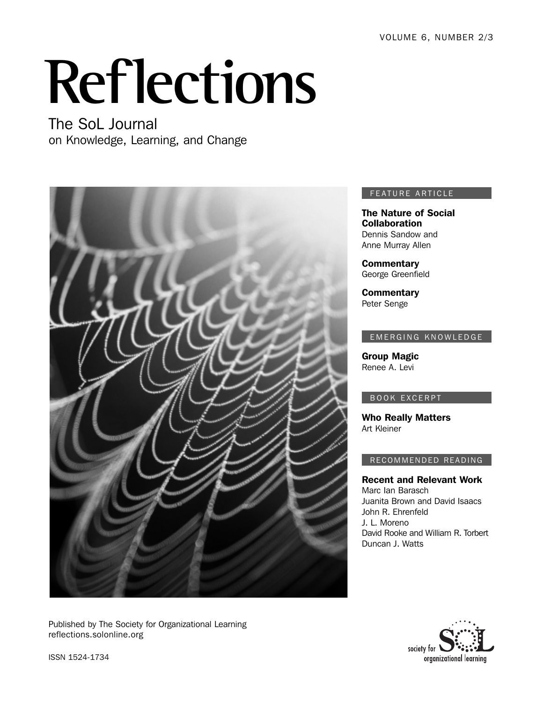VOLUME 6, NUMBER 2/3

# **Reflections**

The SoL Journal on Knowledge, Learning, and Change



Published by The Society for Organizational Learning reflections.solonline.org

## FEATURE ARTICLE

The Nature of Social **Collaboration** Dennis Sandow and Anne Murray Allen

**Commentary** George Greenfield

**Commentary** Peter Senge

## EMERGING KNOWLEDGE

Group Magic Renee A. Levi

## BOOK EXCERPT

Who Really Matters Art Kleiner

## RECOMMENDED READING

Recent and Relevant Work Marc Ian Barasch Juanita Brown and David Isaacs John R. Ehrenfeld J. L. Moreno David Rooke and William R. Torbert Duncan J. Watts



ISSN 1524-1734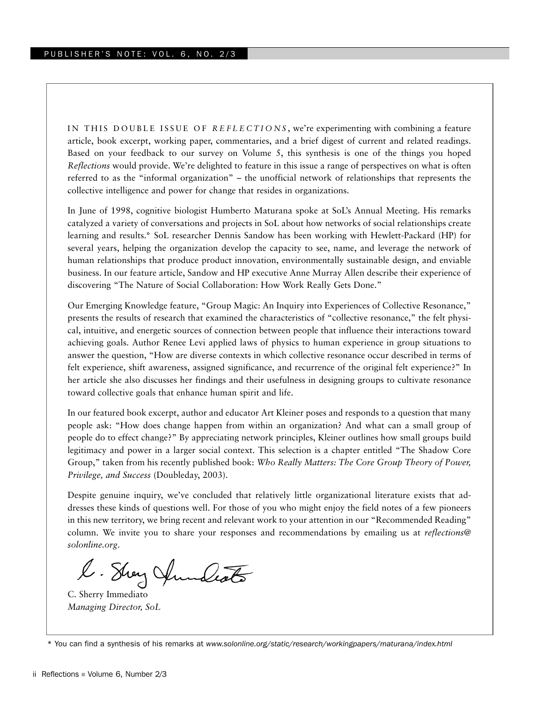IN THIS DOUBLE ISSUE OF *REFLECTIONS* , we're experimenting with combining a feature article, book excerpt, working paper, commentaries, and a brief digest of current and related readings. Based on your feedback to our survey on Volume 5, this synthesis is one of the things you hoped *Reflections* would provide. We're delighted to feature in this issue a range of perspectives on what is often referred to as the "informal organization" – the unofficial network of relationships that represents the collective intelligence and power for change that resides in organizations.

In June of 1998, cognitive biologist Humberto Maturana spoke at SoL's Annual Meeting. His remarks catalyzed a variety of conversations and projects in SoL about how networks of social relationships create learning and results.\* SoL researcher Dennis Sandow has been working with Hewlett-Packard (HP) for several years, helping the organization develop the capacity to see, name, and leverage the network of human relationships that produce product innovation, environmentally sustainable design, and enviable business. In our feature article, Sandow and HP executive Anne Murray Allen describe their experience of discovering "The Nature of Social Collaboration: How Work Really Gets Done."

Our Emerging Knowledge feature, "Group Magic: An Inquiry into Experiences of Collective Resonance," presents the results of research that examined the characteristics of "collective resonance," the felt physical, intuitive, and energetic sources of connection between people that influence their interactions toward achieving goals. Author Renee Levi applied laws of physics to human experience in group situations to answer the question, "How are diverse contexts in which collective resonance occur described in terms of felt experience, shift awareness, assigned significance, and recurrence of the original felt experience?" In her article she also discusses her findings and their usefulness in designing groups to cultivate resonance toward collective goals that enhance human spirit and life.

In our featured book excerpt, author and educator Art Kleiner poses and responds to a question that many people ask: "How does change happen from within an organization? And what can a small group of people do to effect change?" By appreciating network principles, Kleiner outlines how small groups build legitimacy and power in a larger social context. This selection is a chapter entitled "The Shadow Core Group," taken from his recently published book: *Who Really Matters: The Core Group Theory of Power, Privilege, and Success* (Doubleday, 2003).

Despite genuine inquiry, we've concluded that relatively little organizational literature exists that addresses these kinds of questions well. For those of you who might enjoy the field notes of a few pioneers in this new territory, we bring recent and relevant work to your attention in our "Recommended Reading" column. We invite you to share your responses and recommendations by emailing us at *reflections@ solonline.org*.

l. Stray Annalesto

C. Sherry Immediato *Managing Director, SoL*

<sup>\*</sup> You can find a synthesis of his remarks at *www.solonline.org/static/research/workingpapers/maturana/index.html*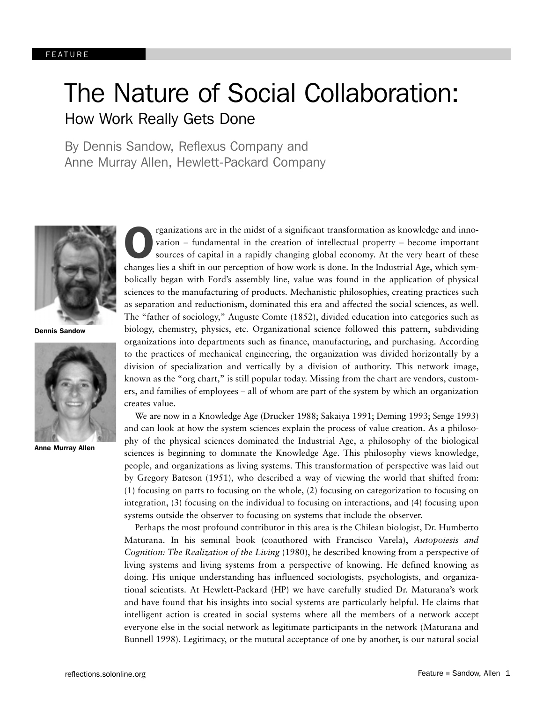# The Nature of Social Collaboration: How Work Really Gets Done

By Dennis Sandow, Reflexus Company and Anne Murray Allen, Hewlett-Packard Company



Dennis Sandow



Anne Murray Allen

rganizations are in the midst of a significant transformation as knowledge and innovation – fundamental in the creation of intellectual property – become important sources of capital in a rapidly changing global economy. A rganizations are in the midst of a significant transformation as knowledge and innovation – fundamental in the creation of intellectual property – become important sources of capital in a rapidly changing global economy. At the very heart of these bolically began with Ford's assembly line, value was found in the application of physical sciences to the manufacturing of products. Mechanistic philosophies, creating practices such as separation and reductionism, dominated this era and affected the social sciences, as well. The "father of sociology," Auguste Comte (1852), divided education into categories such as biology, chemistry, physics, etc. Organizational science followed this pattern, subdividing organizations into departments such as finance, manufacturing, and purchasing. According to the practices of mechanical engineering, the organization was divided horizontally by a division of specialization and vertically by a division of authority. This network image, known as the "org chart," is still popular today. Missing from the chart are vendors, customers, and families of employees – all of whom are part of the system by which an organization creates value.

We are now in a Knowledge Age (Drucker 1988; Sakaiya 1991; Deming 1993; Senge 1993) and can look at how the system sciences explain the process of value creation. As a philosophy of the physical sciences dominated the Industrial Age, a philosophy of the biological sciences is beginning to dominate the Knowledge Age. This philosophy views knowledge, people, and organizations as living systems. This transformation of perspective was laid out by Gregory Bateson (1951), who described a way of viewing the world that shifted from: (1) focusing on parts to focusing on the whole, (2) focusing on categorization to focusing on integration, (3) focusing on the individual to focusing on interactions, and (4) focusing upon systems outside the observer to focusing on systems that include the observer.

Perhaps the most profound contributor in this area is the Chilean biologist, Dr. Humberto Maturana. In his seminal book (coauthored with Francisco Varela), *Autopoiesis and Cognition: The Realization of the Living* (1980), he described knowing from a perspective of living systems and living systems from a perspective of knowing. He defined knowing as doing. His unique understanding has influenced sociologists, psychologists, and organizational scientists. At Hewlett-Packard (HP) we have carefully studied Dr. Maturana's work and have found that his insights into social systems are particularly helpful. He claims that intelligent action is created in social systems where all the members of a network accept everyone else in the social network as legitimate participants in the network (Maturana and Bunnell 1998). Legitimacy, or the mututal acceptance of one by another, is our natural social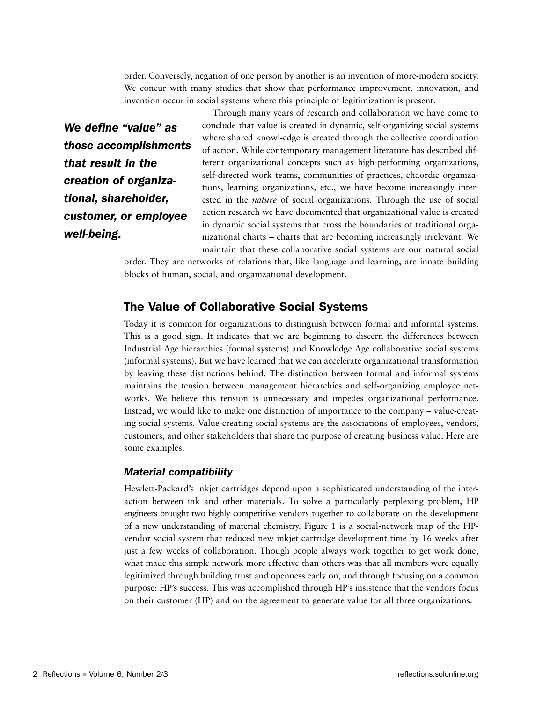order. Conversely, negation of one person by another is an invention of more-modern society. We concur with many studies that show that performance improvement, innovation, and invention occur in social systems where this principle of legitimization is present.

*We define "value" as those accomplishments that result in the creation of organizational, shareholder, customer, or employee well-being.* 

Through many years of research and collaboration we have come to conclude that value is created in dynamic, self-organizing social systems where shared knowl-edge is created through the collective coordination of action. While contemporary management literature has described different organizational concepts such as high-performing organizations, self-directed work teams, communities of practices, chaordic organizations, learning organizations, etc., we have become increasingly interested in the *nature* of social organizations*.* Through the use of social action research we have documented that organizational value is created in dynamic social systems that cross the boundaries of traditional organizational charts – charts that are becoming increasingly irrelevant. We maintain that these collaborative social systems are our natural social

order. They are networks of relations that, like language and learning, are innate building blocks of human, social, and organizational development.

## The Value of Collaborative Social Systems

Today it is common for organizations to distinguish between formal and informal systems. This is a good sign. It indicates that we are beginning to discern the differences between Industrial Age hierarchies (formal systems) and Knowledge Age collaborative social systems (informal systems). But we have learned that we can accelerate organizational transformation by leaving these distinctions behind. The distinction between formal and informal systems maintains the tension between management hierarchies and self-organizing employee networks. We believe this tension is unnecessary and impedes organizational performance. Instead, we would like to make one distinction of importance to the company – value-creating social systems. Value-creating social systems are the associations of employees, vendors, customers, and other stakeholders that share the purpose of creating business value. Here are some examples.

## *Material compatibility*

Hewlett-Packard's inkjet cartridges depend upon a sophisticated understanding of the interaction between ink and other materials. To solve a particularly perplexing problem, HP engineers brought two highly competitive vendors together to collaborate on the development of a new understanding of material chemistry. Figure 1 is a social-network map of the HPvendor social system that reduced new inkjet cartridge development time by 16 weeks after just a few weeks of collaboration. Though people always work together to get work done, what made this simple network more effective than others was that all members were equally legitimized through building trust and openness early on, and through focusing on a common purpose: HP's success. This was accomplished through HP's insistence that the vendors focus on their customer (HP) and on the agreement to generate value for all three organizations.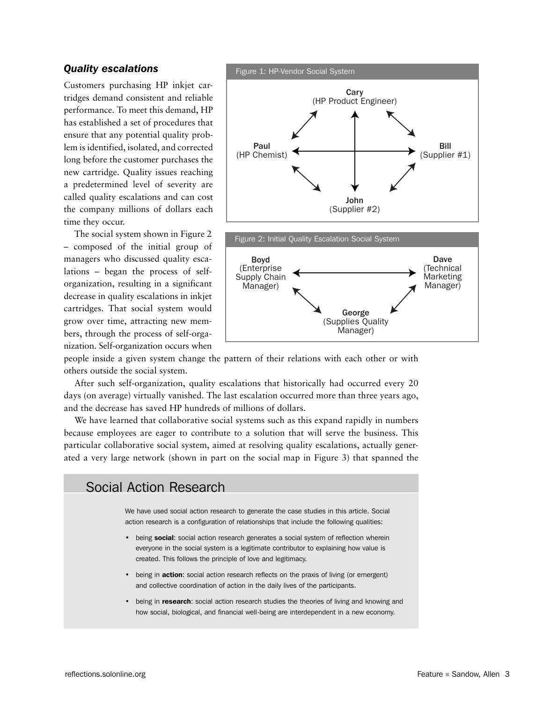## *Quality escalations*

Customers purchasing HP inkjet cartridges demand consistent and reliable performance. To meet this demand, HP has established a set of procedures that ensure that any potential quality problem is identified, isolated, and corrected long before the customer purchases the new cartridge. Quality issues reaching a predetermined level of severity are called quality escalations and can cost the company millions of dollars each time they occur.

The social system shown in Figure 2 – composed of the initial group of managers who discussed quality escalations – began the process of selforganization, resulting in a significant decrease in quality escalations in inkjet cartridges. That social system would grow over time, attracting new members, through the process of self-organization. Self-organization occurs when



people inside a given system change the pattern of their relations with each other or with others outside the social system.

After such self-organization, quality escalations that historically had occurred every 20 days (on average) virtually vanished. The last escalation occurred more than three years ago, and the decrease has saved HP hundreds of millions of dollars.

We have learned that collaborative social systems such as this expand rapidly in numbers because employees are eager to contribute to a solution that will serve the business. This particular collaborative social system, aimed at resolving quality escalations, actually generated a very large network (shown in part on the social map in Figure 3) that spanned the

## Social Action Research

We have used social action research to generate the case studies in this article. Social action research is a configuration of relationships that include the following qualities:

- being social: social action research generates a social system of reflection wherein everyone in the social system is a legitimate contributor to explaining how value is created. This follows the principle of love and legitimacy.
- being in action: social action research reflects on the praxis of living (or emergent) and collective coordination of action in the daily lives of the participants.
- being in **research**: social action research studies the theories of living and knowing and how social, biological, and financial well-being are interdependent in a new economy.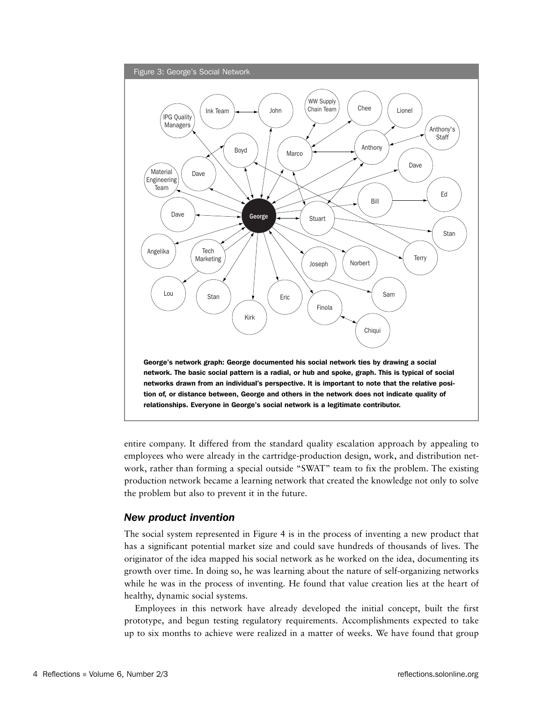

entire company. It differed from the standard quality escalation approach by appealing to employees who were already in the cartridge-production design, work, and distribution network, rather than forming a special outside "SWAT" team to fix the problem. The existing production network became a learning network that created the knowledge not only to solve the problem but also to prevent it in the future.

## *New product invention*

The social system represented in Figure 4 is in the process of inventing a new product that has a significant potential market size and could save hundreds of thousands of lives. The originator of the idea mapped his social network as he worked on the idea, documenting its growth over time. In doing so, he was learning about the nature of self-organizing networks while he was in the process of inventing. He found that value creation lies at the heart of healthy, dynamic social systems.

Employees in this network have already developed the initial concept, built the first prototype, and begun testing regulatory requirements. Accomplishments expected to take up to six months to achieve were realized in a matter of weeks. We have found that group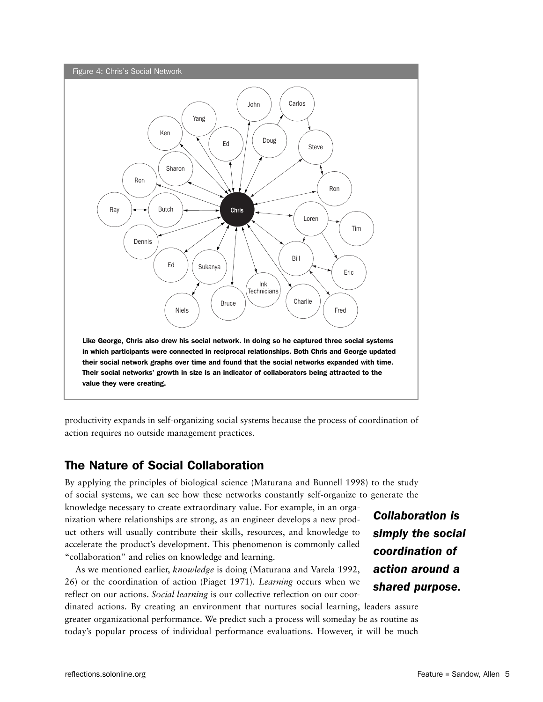

productivity expands in self-organizing social systems because the process of coordination of action requires no outside management practices.

## The Nature of Social Collaboration

By applying the principles of biological science (Maturana and Bunnell 1998) to the study of social systems, we can see how these networks constantly self-organize to generate the knowledge necessary to create extraordinary value. For example, in an organization where relationships are strong, as an engineer develops a new product others will usually contribute their skills, resources, and knowledge to accelerate the product's development. This phenomenon is commonly called "collaboration" and relies on knowledge and learning.

As we mentioned earlier, *knowledge* is doing (Maturana and Varela 1992, 26) or the coordination of action (Piaget 1971). *Learning* occurs when we reflect on our actions. *Social learning* is our collective reflection on our coor-

dinated actions. By creating an environment that nurtures social learning, leaders assure greater organizational performance. We predict such a process will someday be as routine as today's popular process of individual performance evaluations. However, it will be much

*Collaboration is simply the social coordination of action around a shared purpose.*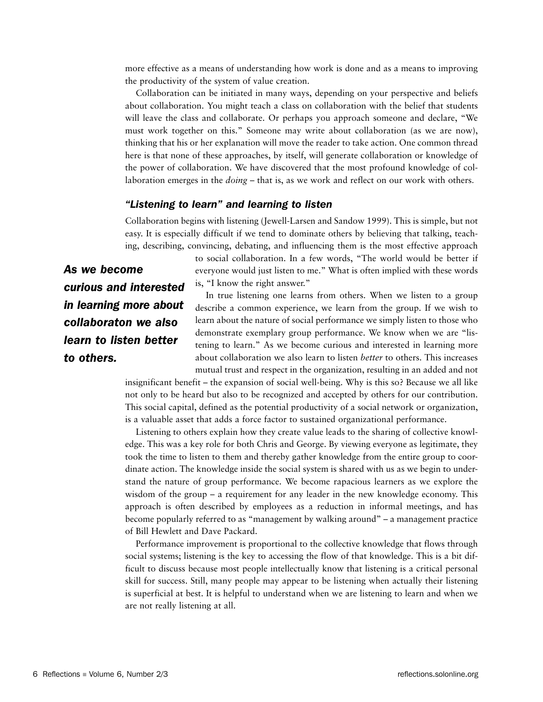more effective as a means of understanding how work is done and as a means to improving the productivity of the system of value creation.

Collaboration can be initiated in many ways, depending on your perspective and beliefs about collaboration. You might teach a class on collaboration with the belief that students will leave the class and collaborate. Or perhaps you approach someone and declare, "We must work together on this." Someone may write about collaboration (as we are now), thinking that his or her explanation will move the reader to take action. One common thread here is that none of these approaches, by itself, will generate collaboration or knowledge of the power of collaboration. We have discovered that the most profound knowledge of collaboration emerges in the *doing* – that is, as we work and reflect on our work with others.

## *"Listening to learn" and learning to listen*

Collaboration begins with listening (Jewell-Larsen and Sandow 1999). This is simple, but not easy. It is especially difficult if we tend to dominate others by believing that talking, teaching, describing, convincing, debating, and influencing them is the most effective approach

*As we become curious and interested in learning more about collaboraton we also learn to listen better to others.*

to social collaboration. In a few words, "The world would be better if everyone would just listen to me." What is often implied with these words is, "I know the right answer."

In true listening one learns from others. When we listen to a group describe a common experience, we learn from the group. If we wish to learn about the nature of social performance we simply listen to those who demonstrate exemplary group performance. We know when we are "listening to learn." As we become curious and interested in learning more about collaboration we also learn to listen *better* to others. This increases mutual trust and respect in the organization, resulting in an added and not

insignificant benefit – the expansion of social well-being. Why is this so? Because we all like not only to be heard but also to be recognized and accepted by others for our contribution. This social capital, defined as the potential productivity of a social network or organization, is a valuable asset that adds a force factor to sustained organizational performance.

Listening to others explain how they create value leads to the sharing of collective knowledge. This was a key role for both Chris and George. By viewing everyone as legitimate, they took the time to listen to them and thereby gather knowledge from the entire group to coordinate action. The knowledge inside the social system is shared with us as we begin to understand the nature of group performance. We become rapacious learners as we explore the wisdom of the group – a requirement for any leader in the new knowledge economy. This approach is often described by employees as a reduction in informal meetings, and has become popularly referred to as "management by walking around" – a management practice of Bill Hewlett and Dave Packard.

Performance improvement is proportional to the collective knowledge that flows through social systems; listening is the key to accessing the flow of that knowledge. This is a bit difficult to discuss because most people intellectually know that listening is a critical personal skill for success. Still, many people may appear to be listening when actually their listening is superficial at best. It is helpful to understand when we are listening to learn and when we are not really listening at all.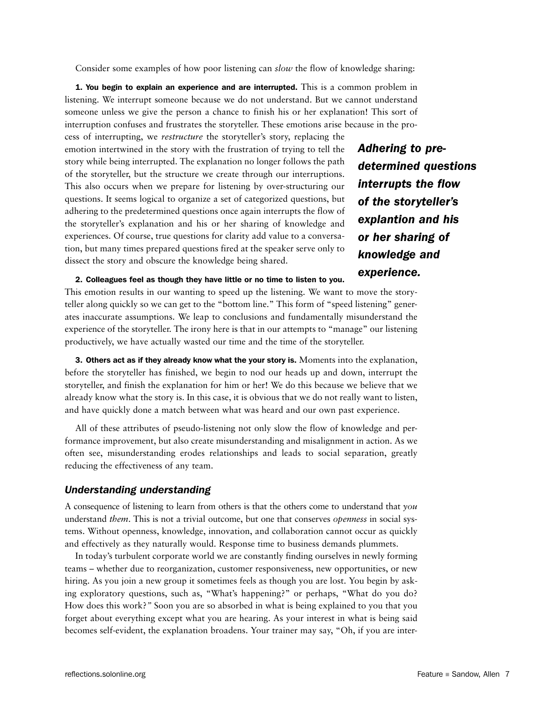Consider some examples of how poor listening can *slow* the flow of knowledge sharing:

1. You begin to explain an experience and are interrupted. This is a common problem in listening. We interrupt someone because we do not understand. But we cannot understand someone unless we give the person a chance to finish his or her explanation! This sort of interruption confuses and frustrates the storyteller. These emotions arise because in the pro-

cess of interrupting, we *restructure* the storyteller's story, replacing the emotion intertwined in the story with the frustration of trying to tell the story while being interrupted. The explanation no longer follows the path of the storyteller, but the structure we create through our interruptions. This also occurs when we prepare for listening by over-structuring our questions. It seems logical to organize a set of categorized questions, but adhering to the predetermined questions once again interrupts the flow of the storyteller's explanation and his or her sharing of knowledge and experiences. Of course, true questions for clarity add value to a conversation, but many times prepared questions fired at the speaker serve only to dissect the story and obscure the knowledge being shared.

*Adhering to predetermined questions interrupts the flow of the storyteller's explantion and his or her sharing of knowledge and experience.*

## 2. Colleagues feel as though they have little or no time to listen to you.

This emotion results in our wanting to speed up the listening. We want to move the storyteller along quickly so we can get to the "bottom line." This form of "speed listening" generates inaccurate assumptions. We leap to conclusions and fundamentally misunderstand the experience of the storyteller. The irony here is that in our attempts to "manage" our listening productively, we have actually wasted our time and the time of the storyteller.

3. Others act as if they already know what the your story is. Moments into the explanation, before the storyteller has finished, we begin to nod our heads up and down, interrupt the storyteller, and finish the explanation for him or her! We do this because we believe that we already know what the story is. In this case, it is obvious that we do not really want to listen, and have quickly done a match between what was heard and our own past experience.

All of these attributes of pseudo-listening not only slow the flow of knowledge and performance improvement, but also create misunderstanding and misalignment in action. As we often see, misunderstanding erodes relationships and leads to social separation, greatly reducing the effectiveness of any team.

## *Understanding understanding*

A consequence of listening to learn from others is that the others come to understand that *you* understand *them*. This is not a trivial outcome, but one that conserves *openness* in social systems. Without openness, knowledge, innovation, and collaboration cannot occur as quickly and effectively as they naturally would. Response time to business demands plummets.

In today's turbulent corporate world we are constantly finding ourselves in newly forming teams – whether due to reorganization, customer responsiveness, new opportunities, or new hiring. As you join a new group it sometimes feels as though you are lost. You begin by asking exploratory questions, such as, "What's happening?" or perhaps, "What do you do? How does this work?*"* Soon you are so absorbed in what is being explained to you that you forget about everything except what you are hearing. As your interest in what is being said becomes self-evident, the explanation broadens. Your trainer may say, "Oh, if you are inter-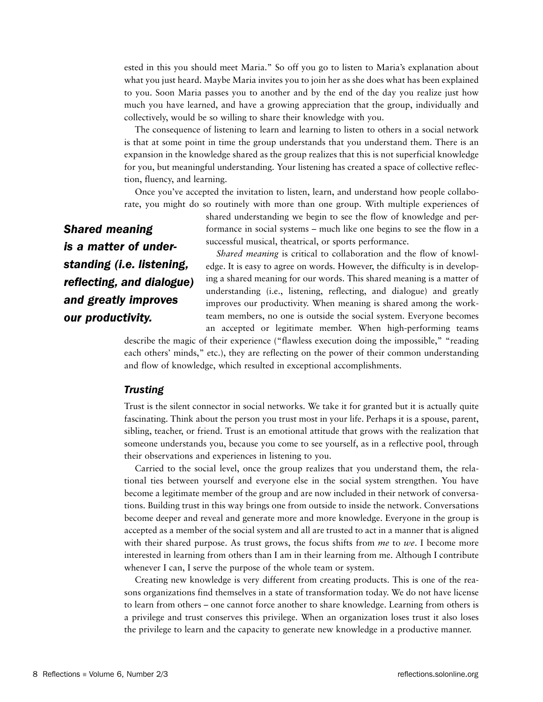ested in this you should meet Maria." So off you go to listen to Maria's explanation about what you just heard. Maybe Maria invites you to join her as she does what has been explained to you. Soon Maria passes you to another and by the end of the day you realize just how much you have learned, and have a growing appreciation that the group, individually and collectively, would be so willing to share their knowledge with you.

The consequence of listening to learn and learning to listen to others in a social network is that at some point in time the group understands that you understand them. There is an expansion in the knowledge shared as the group realizes that this is not superficial knowledge for you, but meaningful understanding. Your listening has created a space of collective reflection, fluency, and learning.

Once you've accepted the invitation to listen, learn, and understand how people collaborate, you might do so routinely with more than one group. With multiple experiences of

> shared understanding we begin to see the flow of knowledge and performance in social systems – much like one begins to see the flow in a successful musical, theatrical, or sports performance.

*Shared meaning is a matter of understanding (i.e. listening, reflecting, and dialogue) and greatly improves our productivity.*

*Shared meaning* is critical to collaboration and the flow of knowledge. It is easy to agree on words. However, the difficulty is in developing a shared meaning for our words. This shared meaning is a matter of understanding (i.e., listening, reflecting, and dialogue) and greatly improves our productivity. When meaning is shared among the workteam members, no one is outside the social system. Everyone becomes an accepted or legitimate member. When high-performing teams

describe the magic of their experience ("flawless execution doing the impossible," "reading each others' minds," etc.), they are reflecting on the power of their common understanding and flow of knowledge, which resulted in exceptional accomplishments.

## *Trusting*

Trust is the silent connector in social networks. We take it for granted but it is actually quite fascinating. Think about the person you trust most in your life. Perhaps it is a spouse, parent, sibling, teacher, or friend. Trust is an emotional attitude that grows with the realization that someone understands you, because you come to see yourself, as in a reflective pool, through their observations and experiences in listening to you.

Carried to the social level, once the group realizes that you understand them, the relational ties between yourself and everyone else in the social system strengthen. You have become a legitimate member of the group and are now included in their network of conversations. Building trust in this way brings one from outside to inside the network. Conversations become deeper and reveal and generate more and more knowledge. Everyone in the group is accepted as a member of the social system and all are trusted to act in a manner that is aligned with their shared purpose. As trust grows, the focus shifts from *me* to *we*. I become more interested in learning from others than I am in their learning from me. Although I contribute whenever I can, I serve the purpose of the whole team or system.

Creating new knowledge is very different from creating products. This is one of the reasons organizations find themselves in a state of transformation today. We do not have license to learn from others – one cannot force another to share knowledge. Learning from others is a privilege and trust conserves this privilege. When an organization loses trust it also loses the privilege to learn and the capacity to generate new knowledge in a productive manner.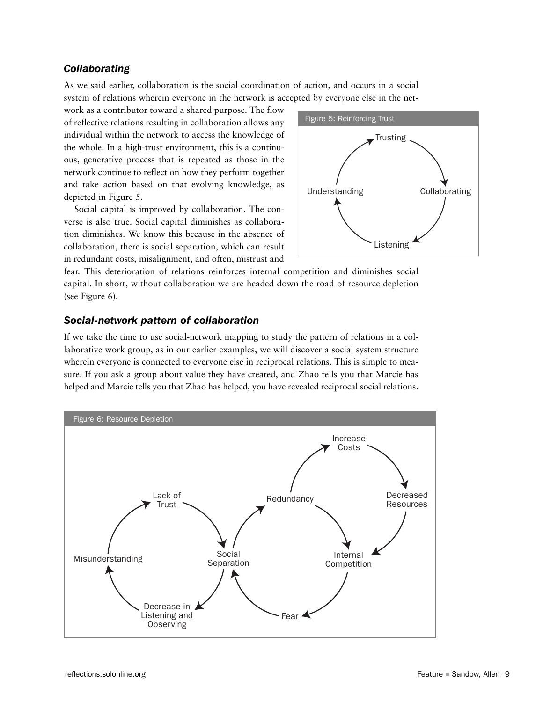## *Collaborating*

As we said earlier, collaboration is the social coordination of action, and occurs in a social system of relations wherein everyone in the network is accepted by everyone else in the net-

work as a contributor toward a shared purpose. The flow of reflective relations resulting in collaboration allows any individual within the network to access the knowledge of the whole. In a high-trust environment, this is a continuous, generative process that is repeated as those in the network continue to reflect on how they perform together and take action based on that evolving knowledge, as depicted in Figure 5.

Social capital is improved by collaboration. The converse is also true. Social capital diminishes as collaboration diminishes. We know this because in the absence of collaboration, there is social separation, which can result in redundant costs, misalignment, and often, mistrust and



fear. This deterioration of relations reinforces internal competition and diminishes social capital. In short, without collaboration we are headed down the road of resource depletion (see Figure 6).

## *Social-network pattern of collaboration*

If we take the time to use social-network mapping to study the pattern of relations in a collaborative work group, as in our earlier examples, we will discover a social system structure wherein everyone is connected to everyone else in reciprocal relations. This is simple to measure. If you ask a group about value they have created, and Zhao tells you that Marcie has helped and Marcie tells you that Zhao has helped, you have revealed reciprocal social relations.

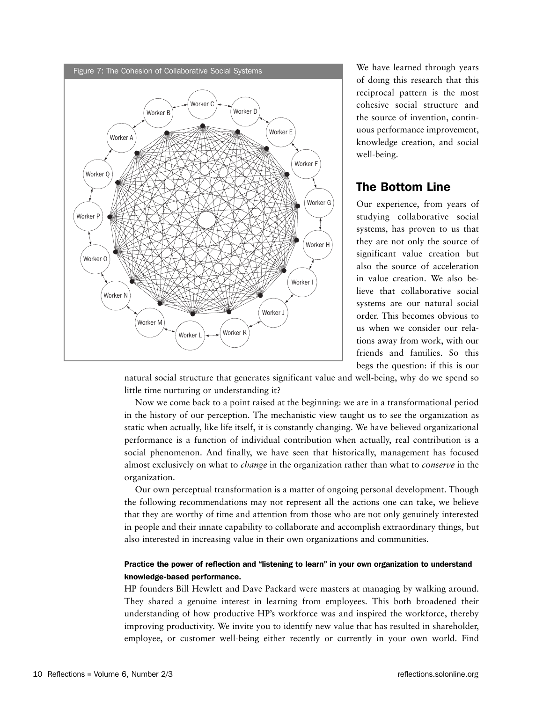

We have learned through years of doing this research that this reciprocal pattern is the most cohesive social structure and the source of invention, continuous performance improvement, knowledge creation, and social well-being.

## The Bottom Line

Our experience, from years of studying collaborative social systems, has proven to us that they are not only the source of significant value creation but also the source of acceleration in value creation. We also believe that collaborative social systems are our natural social order. This becomes obvious to us when we consider our relations away from work, with our friends and families. So this begs the question: if this is our

natural social structure that generates significant value and well-being, why do we spend so little time nurturing or understanding it?

Now we come back to a point raised at the beginning: we are in a transformational period in the history of our perception. The mechanistic view taught us to see the organization as static when actually, like life itself, it is constantly changing. We have believed organizational performance is a function of individual contribution when actually, real contribution is a social phenomenon. And finally, we have seen that historically, management has focused almost exclusively on what to *change* in the organization rather than what to *conserve* in the organization.

Our own perceptual transformation is a matter of ongoing personal development. Though the following recommendations may not represent all the actions one can take, we believe that they are worthy of time and attention from those who are not only genuinely interested in people and their innate capability to collaborate and accomplish extraordinary things, but also interested in increasing value in their own organizations and communities.

## Practice the power of reflection and "listening to learn" in your own organization to understand knowledge-based performance.

HP founders Bill Hewlett and Dave Packard were masters at managing by walking around. They shared a genuine interest in learning from employees. This both broadened their understanding of how productive HP's workforce was and inspired the workforce, thereby improving productivity. We invite you to identify new value that has resulted in shareholder, employee, or customer well-being either recently or currently in your own world. Find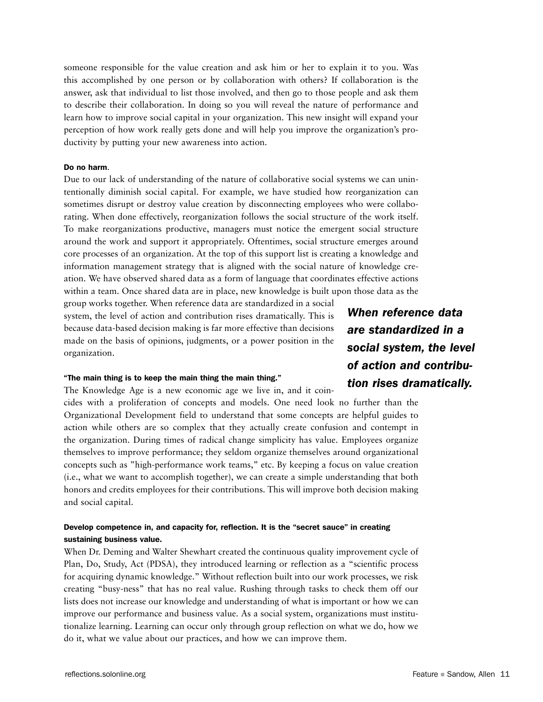someone responsible for the value creation and ask him or her to explain it to you. Was this accomplished by one person or by collaboration with others? If collaboration is the answer, ask that individual to list those involved, and then go to those people and ask them to describe their collaboration. In doing so you will reveal the nature of performance and learn how to improve social capital in your organization. This new insight will expand your perception of how work really gets done and will help you improve the organization's productivity by putting your new awareness into action.

### Do no harm.

Due to our lack of understanding of the nature of collaborative social systems we can unintentionally diminish social capital. For example, we have studied how reorganization can sometimes disrupt or destroy value creation by disconnecting employees who were collaborating. When done effectively, reorganization follows the social structure of the work itself. To make reorganizations productive, managers must notice the emergent social structure around the work and support it appropriately. Oftentimes, social structure emerges around core processes of an organization. At the top of this support list is creating a knowledge and information management strategy that is aligned with the social nature of knowledge creation. We have observed shared data as a form of language that coordinates effective actions within a team. Once shared data are in place, new knowledge is built upon those data as the

group works together. When reference data are standardized in a social system, the level of action and contribution rises dramatically. This is because data-based decision making is far more effective than decisions made on the basis of opinions, judgments, or a power position in the organization.

#### "The main thing is to keep the main thing the main thing."

The Knowledge Age is a new economic age we live in, and it coin-

cides with a proliferation of concepts and models. One need look no further than the Organizational Development field to understand that some concepts are helpful guides to action while others are so complex that they actually create confusion and contempt in the organization. During times of radical change simplicity has value. Employees organize themselves to improve performance; they seldom organize themselves around organizational concepts such as "high-performance work teams," etc. By keeping a focus on value creation (i.e., what we want to accomplish together), we can create a simple understanding that both honors and credits employees for their contributions. This will improve both decision making and social capital.

## Develop competence in, and capacity for, reflection. It is the "secret sauce" in creating sustaining business value.

When Dr. Deming and Walter Shewhart created the continuous quality improvement cycle of Plan, Do, Study, Act (PDSA), they introduced learning or reflection as a "scientific process for acquiring dynamic knowledge." Without reflection built into our work processes, we risk creating "busy-ness" that has no real value. Rushing through tasks to check them off our lists does not increase our knowledge and understanding of what is important or how we can improve our performance and business value. As a social system, organizations must institutionalize learning. Learning can occur only through group reflection on what we do, how we do it, what we value about our practices, and how we can improve them.

*When reference data are standardized in a social system, the level of action and contribution rises dramatically.*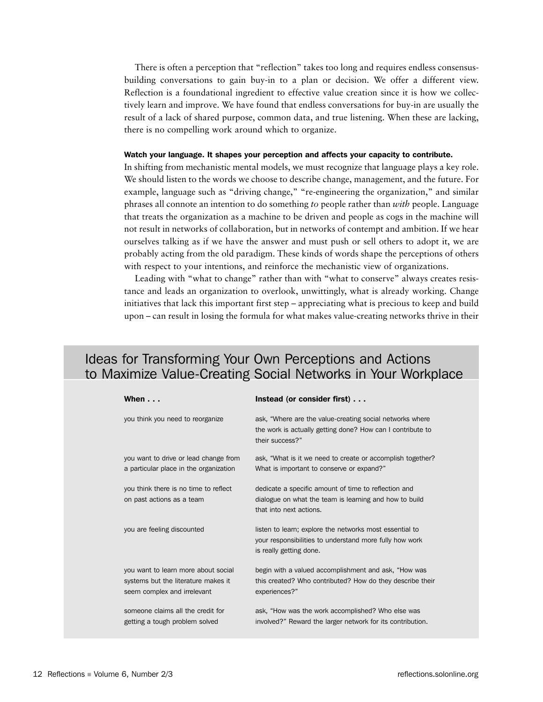There is often a perception that "reflection" takes too long and requires endless consensusbuilding conversations to gain buy-in to a plan or decision. We offer a different view. Reflection is a foundational ingredient to effective value creation since it is how we collectively learn and improve. We have found that endless conversations for buy-in are usually the result of a lack of shared purpose, common data, and true listening. When these are lacking, there is no compelling work around which to organize.

#### Watch your language. It shapes your perception and affects your capacity to contribute.

In shifting from mechanistic mental models, we must recognize that language plays a key role. We should listen to the words we choose to describe change, management, and the future. For example, language such as "driving change," "re-engineering the organization," and similar phrases all connote an intention to do something *to* people rather than *with* people. Language that treats the organization as a machine to be driven and people as cogs in the machine will not result in networks of collaboration, but in networks of contempt and ambition. If we hear ourselves talking as if we have the answer and must push or sell others to adopt it, we are probably acting from the old paradigm. These kinds of words shape the perceptions of others with respect to your intentions, and reinforce the mechanistic view of organizations.

Leading with "what to change" rather than with "what to conserve" always creates resistance and leads an organization to overlook, unwittingly, what is already working. Change initiatives that lack this important first step – appreciating what is precious to keep and build upon – can result in losing the formula for what makes value-creating networks thrive in their

## Ideas for Transforming Your Own Perceptions and Actions to Maximize Value-Creating Social Networks in Your Workplace

| When $\ldots$                                                                                             | Instead (or consider first)                                                                                                                   |
|-----------------------------------------------------------------------------------------------------------|-----------------------------------------------------------------------------------------------------------------------------------------------|
| you think you need to reorganize                                                                          | ask, "Where are the value-creating social networks where<br>the work is actually getting done? How can I contribute to<br>their success?"     |
| you want to drive or lead change from<br>a particular place in the organization                           | ask, "What is it we need to create or accomplish together?<br>What is important to conserve or expand?"                                       |
| you think there is no time to reflect<br>on past actions as a team                                        | dedicate a specific amount of time to reflection and<br>dialogue on what the team is learning and how to build<br>that into next actions.     |
| you are feeling discounted                                                                                | listen to learn; explore the networks most essential to<br>your responsibilities to understand more fully how work<br>is really getting done. |
| you want to learn more about social<br>systems but the literature makes it<br>seem complex and irrelevant | begin with a valued accomplishment and ask, "How was<br>this created? Who contributed? How do they describe their<br>experiences?"            |
| someone claims all the credit for<br>getting a tough problem solved                                       | ask, "How was the work accomplished? Who else was<br>involved?" Reward the larger network for its contribution.                               |
|                                                                                                           |                                                                                                                                               |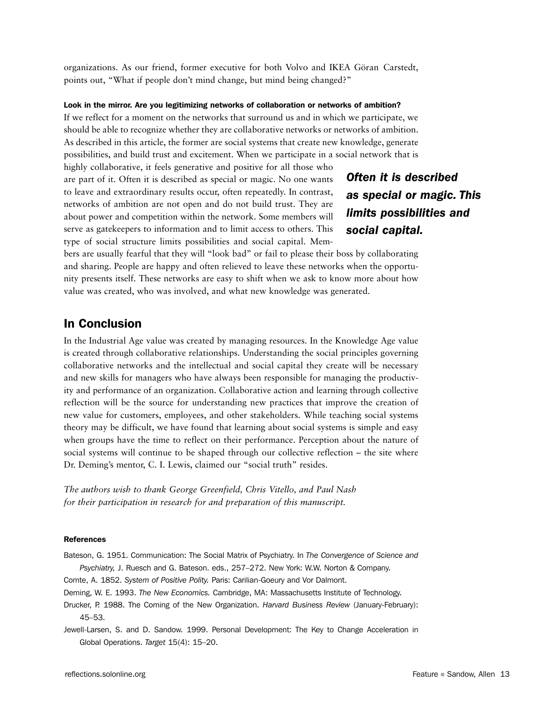organizations. As our friend, former executive for both Volvo and IKEA Göran Carstedt, points out, "What if people don't mind change, but mind being changed?"

## Look in the mirror. Are you legitimizing networks of collaboration or networks of ambition?

If we reflect for a moment on the networks that surround us and in which we participate, we should be able to recognize whether they are collaborative networks or networks of ambition. As described in this article, the former are social systems that create new knowledge, generate possibilities, and build trust and excitement. When we participate in a social network that is

highly collaborative, it feels generative and positive for all those who are part of it. Often it is described as special or magic. No one wants to leave and extraordinary results occur, often repeatedly. In contrast, networks of ambition are not open and do not build trust. They are about power and competition within the network. Some members will serve as gatekeepers to information and to limit access to others. This type of social structure limits possibilities and social capital. Mem-

## *Often it is described as special or magic. This limits possibilities and social capital.*

bers are usually fearful that they will "look bad" or fail to please their boss by collaborating and sharing. People are happy and often relieved to leave these networks when the opportunity presents itself. These networks are easy to shift when we ask to know more about how value was created, who was involved, and what new knowledge was generated.

## In Conclusion

In the Industrial Age value was created by managing resources. In the Knowledge Age value is created through collaborative relationships. Understanding the social principles governing collaborative networks and the intellectual and social capital they create will be necessary and new skills for managers who have always been responsible for managing the productivity and performance of an organization. Collaborative action and learning through collective reflection will be the source for understanding new practices that improve the creation of new value for customers, employees, and other stakeholders. While teaching social systems theory may be difficult, we have found that learning about social systems is simple and easy when groups have the time to reflect on their performance. Perception about the nature of social systems will continue to be shaped through our collective reflection – the site where Dr. Deming's mentor, C. I. Lewis, claimed our "social truth" resides.

*The authors wish to thank George Greenfield, Chris Vitello, and Paul Nash for their participation in research for and preparation of this manuscript.*

#### References

Bateson, G. 1951. Communication: The Social Matrix of Psychiatry. In *The Convergence of Science and Psychiatry,* J. Ruesch and G. Bateson. eds., 257–272. New York: W.W. Norton & Company.

Comte, A. 1852. *System of Positive Polity.* Paris: Carilian-Goeury and Vor Dalmont.

Deming, W. E. 1993. *The New Economics.* Cambridge, MA: Massachusetts Institute of Technology.

Drucker, P. 1988. The Coming of the New Organization. *Harvard Business Review* (January-February): 45–53.

Jewell-Larsen, S. and D. Sandow. 1999. Personal Development: The Key to Change Acceleration in Global Operations. *Target* 15(4): 15–20.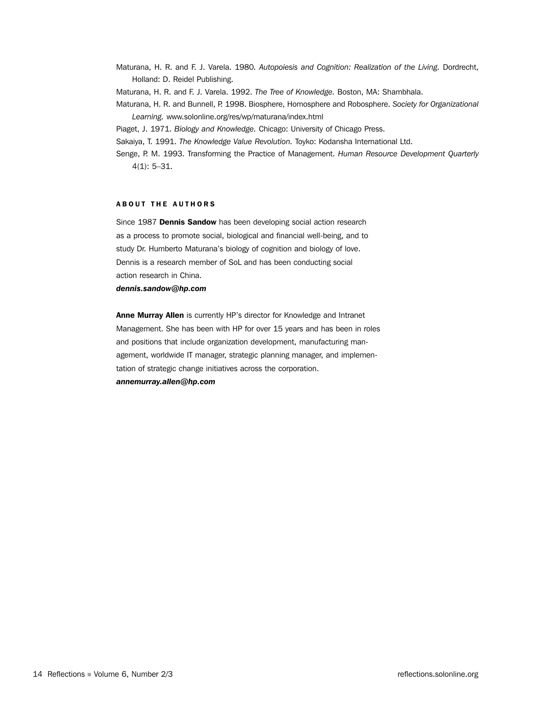- Maturana, H. R. and F. J. Varela. 1980*. Autopoiesis and Cognition: Realization of the Living.* Dordrecht, Holland: D. Reidel Publishing.
- Maturana, H. R. and F. J. Varela. 1992. *The Tree of Knowledge.* Boston, MA: Shambhala.
- Maturana, H. R. and Bunnell, P. 1998. Biosphere, Homosphere and Robosphere. *Society for Organizational Learning.* www.solonline.org/res/wp/maturana/index.html
- Piaget, J. 1971. *Biology and Knowledge.* Chicago: University of Chicago Press.
- Sakaiya, T. 1991. *The Knowledge Value Revolution.* Toyko: Kodansha International Ltd.
- Senge, P. M. 1993. Transforming the Practice of Management. *Human Resource Development Quarterly*  4(1): 5–31.

## ABOUT THE AUTHORS

Since 1987 Dennis Sandow has been developing social action research as a process to promote social, biological and financial well-being, and to study Dr. Humberto Maturana's biology of cognition and biology of love. Dennis is a research member of SoL and has been conducting social action research in China.

*dennis.sandow@hp.com*

Anne Murray Allen is currently HP's director for Knowledge and Intranet Management. She has been with HP for over 15 years and has been in roles and positions that include organization development, manufacturing management, worldwide IT manager, strategic planning manager, and implementation of strategic change initiatives across the corporation. *annemurray.allen@hp.com*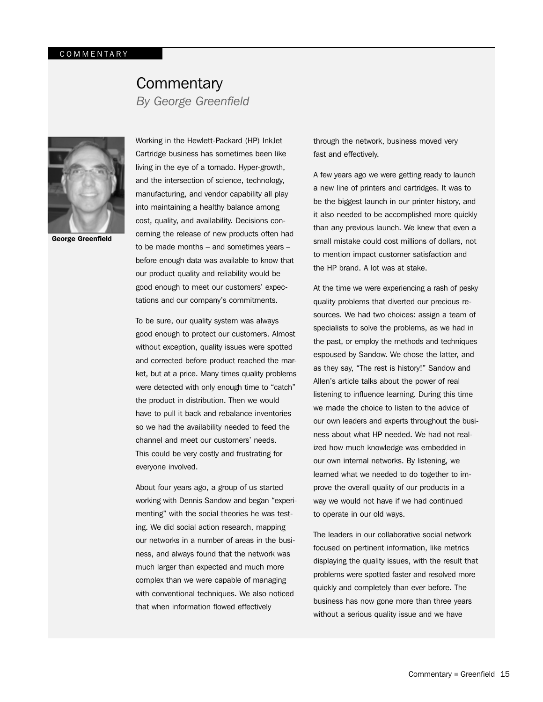## **Commentary** *By George Greenfield*



George Greenfield

Working in the Hewlett-Packard (HP) InkJet Cartridge business has sometimes been like living in the eye of a tornado. Hyper-growth, and the intersection of science, technology, manufacturing, and vendor capability all play into maintaining a healthy balance among cost, quality, and availability. Decisions concerning the release of new products often had to be made months – and sometimes years – before enough data was available to know that our product quality and reliability would be good enough to meet our customers' expectations and our company's commitments.

To be sure, our quality system was always good enough to protect our customers. Almost without exception, quality issues were spotted and corrected before product reached the market, but at a price. Many times quality problems were detected with only enough time to "catch" the product in distribution. Then we would have to pull it back and rebalance inventories so we had the availability needed to feed the channel and meet our customers' needs. This could be very costly and frustrating for everyone involved.

About four years ago, a group of us started working with Dennis Sandow and began "experimenting" with the social theories he was testing. We did social action research, mapping our networks in a number of areas in the business, and always found that the network was much larger than expected and much more complex than we were capable of managing with conventional techniques. We also noticed that when information flowed effectively

through the network, business moved very fast and effectively.

A few years ago we were getting ready to launch a new line of printers and cartridges. It was to be the biggest launch in our printer history, and it also needed to be accomplished more quickly than any previous launch. We knew that even a small mistake could cost millions of dollars, not to mention impact customer satisfaction and the HP brand. A lot was at stake.

At the time we were experiencing a rash of pesky quality problems that diverted our precious resources. We had two choices: assign a team of specialists to solve the problems, as we had in the past, or employ the methods and techniques espoused by Sandow. We chose the latter, and as they say, "The rest is history!" Sandow and Allen's article talks about the power of real listening to influence learning. During this time we made the choice to listen to the advice of our own leaders and experts throughout the business about what HP needed. We had not realized how much knowledge was embedded in our own internal networks. By listening, we learned what we needed to do together to improve the overall quality of our products in a way we would not have if we had continued to operate in our old ways.

The leaders in our collaborative social network focused on pertinent information, like metrics displaying the quality issues, with the result that problems were spotted faster and resolved more quickly and completely than ever before. The business has now gone more than three years without a serious quality issue and we have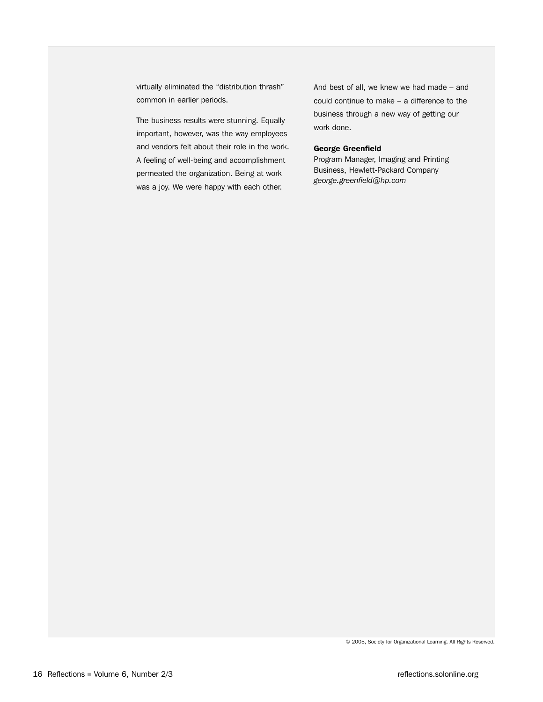virtually eliminated the "distribution thrash" common in earlier periods.

The business results were stunning. Equally important, however, was the way employees and vendors felt about their role in the work. A feeling of well-being and accomplishment permeated the organization. Being at work was a joy. We were happy with each other.

And best of all, we knew we had made – and could continue to make – a difference to the business through a new way of getting our work done.

## George Greenfield

Program Manager, Imaging and Printing Business, Hewlett-Packard Company *george.greenfield@hp.com*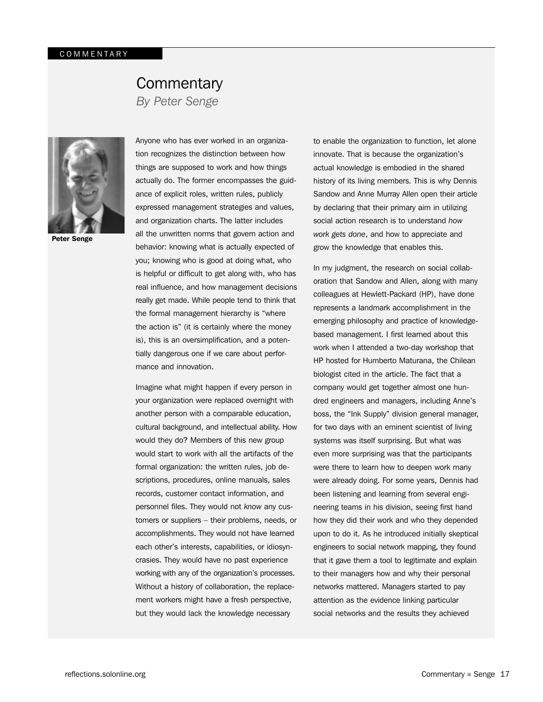# **Commentary**

*By Peter Senge*



Peter Senge

Anyone who has ever worked in an organization recognizes the distinction between how things are supposed to work and how things actually do. The former encompasses the guidance of explicit roles, written rules, publicly expressed management strategies and values, and organization charts. The latter includes all the unwritten norms that govern action and behavior: knowing what is actually expected of you; knowing who is good at doing what, who is helpful or difficult to get along with, who has real influence, and how management decisions really get made. While people tend to think that the formal management hierarchy is "where the action is" (it is certainly where the money is), this is an oversimplification, and a potentially dangerous one if we care about performance and innovation.

Imagine what might happen if every person in your organization were replaced overnight with another person with a comparable education, cultural background, and intellectual ability. How would they do? Members of this new group would start to work with all the artifacts of the formal organization: the written rules, job descriptions, procedures, online manuals, sales records, customer contact information, and personnel files. They would not *know* any customers or suppliers – their problems, needs, or accomplishments. They would not have learned each other's interests, capabilities, or idiosyncrasies. They would have no past experience working with any of the organization's processes. Without a history of collaboration, the replacement workers might have a fresh perspective, but they would lack the knowledge necessary

to enable the organization to function, let alone innovate. That is because the organization's actual knowledge is embodied in the shared history of its living members. This is why Dennis Sandow and Anne Murray Allen open their article by declaring that their primary aim in utilizing social action research is to understand *how work gets done*, and how to appreciate and grow the knowledge that enables this.

In my judgment, the research on social collaboration that Sandow and Allen, along with many colleagues at Hewlett-Packard (HP), have done represents a landmark accomplishment in the emerging philosophy and practice of knowledgebased management. I first learned about this work when I attended a two-day workshop that HP hosted for Humberto Maturana, the Chilean biologist cited in the article. The fact that a company would get together almost one hundred engineers and managers, including Anne's boss, the "Ink Supply" division general manager, for two days with an eminent scientist of living systems was itself surprising. But what was even more surprising was that the participants were there to learn how to deepen work many were already doing. For some years, Dennis had been listening and learning from several engineering teams in his division, seeing first hand how they did their work and who they depended upon to do it. As he introduced initially skeptical engineers to social network mapping, they found that it gave them a tool to legitimate and explain to their managers how and why their personal networks mattered. Managers started to pay attention as the evidence linking particular social networks and the results they achieved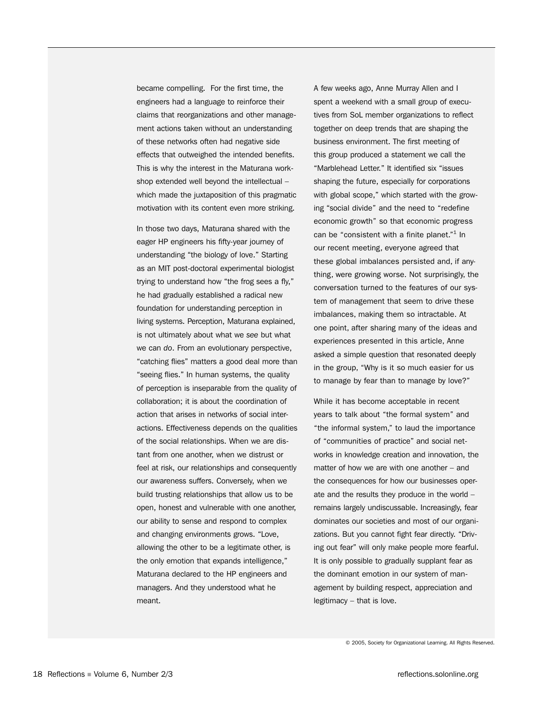became compelling. For the first time, the engineers had a language to reinforce their claims that reorganizations and other management actions taken without an understanding of these networks often had negative side effects that outweighed the intended benefits. This is why the interest in the Maturana workshop extended well beyond the intellectual – which made the juxtaposition of this pragmatic motivation with its content even more striking.

In those two days, Maturana shared with the eager HP engineers his fifty-year journey of understanding "the biology of love." Starting as an MIT post-doctoral experimental biologist trying to understand how "the frog sees a fly," he had gradually established a radical new foundation for understanding perception in living systems. Perception, Maturana explained, is not ultimately about what we *see* but what we can *do*. From an evolutionary perspective, "catching flies" matters a good deal more than "seeing flies." In human systems, the quality of perception is inseparable from the quality of collaboration; it is about the coordination of action that arises in networks of social interactions. Effectiveness depends on the qualities of the social relationships. When we are distant from one another, when we distrust or feel at risk, our relationships and consequently our awareness suffers. Conversely, when we build trusting relationships that allow us to be open, honest and vulnerable with one another, our ability to sense and respond to complex and changing environments grows. "Love, allowing the other to be a legitimate other, is the only emotion that expands intelligence," Maturana declared to the HP engineers and managers. And they understood what he meant.

A few weeks ago, Anne Murray Allen and I spent a weekend with a small group of executives from SoL member organizations to reflect together on deep trends that are shaping the business environment. The first meeting of this group produced a statement we call the "Marblehead Letter." It identified six "issues shaping the future, especially for corporations with global scope," which started with the growing "social divide" and the need to "redefine economic growth" so that economic progress can be "consistent with a finite planet."<sup>1</sup> In our recent meeting, everyone agreed that these global imbalances persisted and, if anything, were growing worse. Not surprisingly, the conversation turned to the features of our system of management that seem to drive these imbalances, making them so intractable. At one point, after sharing many of the ideas and experiences presented in this article, Anne asked a simple question that resonated deeply in the group, "Why is it so much easier for us to manage by fear than to manage by love?"

While it has become acceptable in recent years to talk about "the formal system" and "the informal system," to laud the importance of "communities of practice" and social networks in knowledge creation and innovation, the matter of how we are with one another – and the consequences for how our businesses operate and the results they produce in the world – remains largely undiscussable. Increasingly, fear dominates our societies and most of our organizations. But you cannot fight fear directly. "Driving out fear" will only make people more fearful. It is only possible to gradually supplant fear as the dominant emotion in our system of management by building respect, appreciation and legitimacy – that is love.

© 2005, Society for Organizational Learning. All Rights Reserved.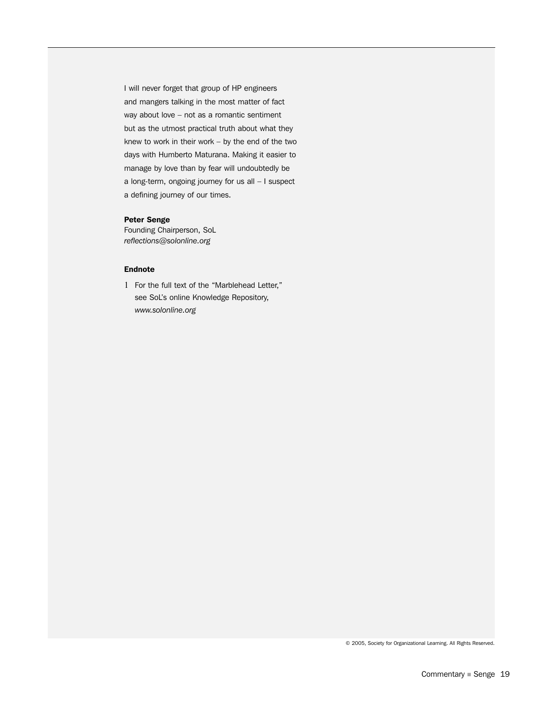I will never forget that group of HP engineers and mangers talking in the most matter of fact way about love – not as a romantic sentiment but as the utmost practical truth about what they knew to work in their work – by the end of the two days with Humberto Maturana. Making it easier to manage by love than by fear will undoubtedly be a long-term, ongoing journey for us all – I suspect a defining journey of our times.

## Peter Senge

Founding Chairperson, SoL *reflections@solonline.org*

## Endnote

1 For the full text of the "Marblehead Letter," see SoL's online Knowledge Repository, *www.solonline.org*

© 2005, Society for Organizational Learning. All Rights Reserved.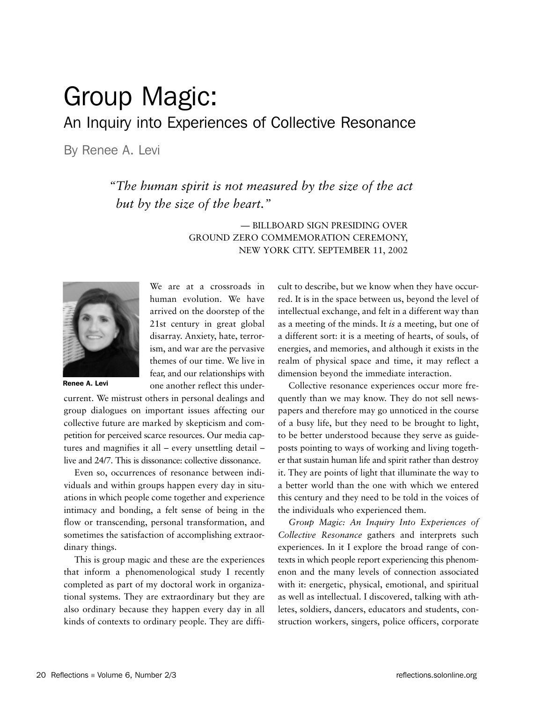# Group Magic: An Inquiry into Experiences of Collective Resonance

By Renee A. Levi

*"The human spirit is not measured by the size of the act but by the size of the heart.*"

> — BILLBOARD SIGN PRESIDING OVER GROUND ZERO COMMEMORATION CEREMONY, NEW YORK CITY. SEPTEMBER 11, 2002



Renee A. Levi

We are at a crossroads in human evolution. We have arrived on the doorstep of the 21st century in great global disarray. Anxiety, hate, terrorism, and war are the pervasive themes of our time. We live in fear, and our relationships with one another reflect this under-

current. We mistrust others in personal dealings and group dialogues on important issues affecting our collective future are marked by skepticism and competition for perceived scarce resources. Our media captures and magnifies it all – every unsettling detail – live and 24/7. This is dissonance: collective dissonance.

Even so, occurrences of resonance between individuals and within groups happen every day in situations in which people come together and experience intimacy and bonding, a felt sense of being in the flow or transcending, personal transformation, and sometimes the satisfaction of accomplishing extraordinary things.

This is group magic and these are the experiences that inform a phenomenological study I recently completed as part of my doctoral work in organizational systems. They are extraordinary but they are also ordinary because they happen every day in all kinds of contexts to ordinary people. They are difficult to describe, but we know when they have occurred. It is in the space between us, beyond the level of intellectual exchange, and felt in a different way than as a meeting of the minds. It *is* a meeting, but one of a different sort: it is a meeting of hearts, of souls, of energies, and memories, and although it exists in the realm of physical space and time, it may reflect a dimension beyond the immediate interaction.

Collective resonance experiences occur more frequently than we may know. They do not sell newspapers and therefore may go unnoticed in the course of a busy life, but they need to be brought to light, to be better understood because they serve as guideposts pointing to ways of working and living together that sustain human life and spirit rather than destroy it. They are points of light that illuminate the way to a better world than the one with which we entered this century and they need to be told in the voices of the individuals who experienced them.

*Group Magic: An Inquiry Into Experiences of Collective Resonance* gathers and interprets such experiences. In it I explore the broad range of contexts in which people report experiencing this phenomenon and the many levels of connection associated with it: energetic, physical, emotional, and spiritual as well as intellectual. I discovered, talking with athletes, soldiers, dancers, educators and students, construction workers, singers, police officers, corporate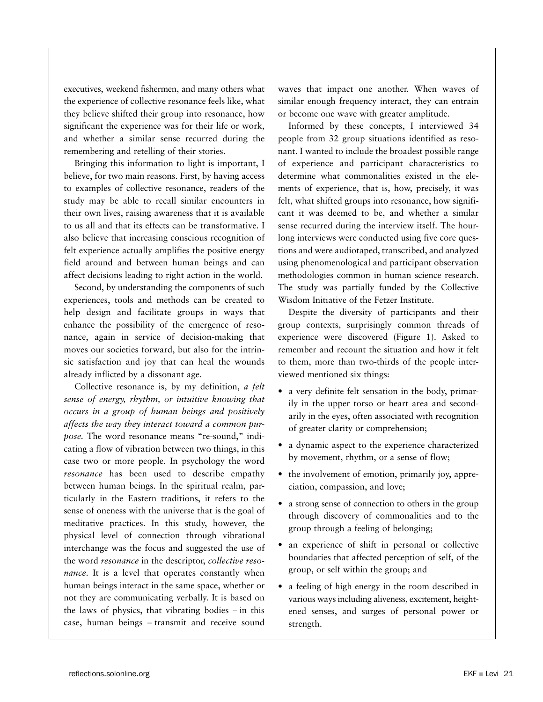executives, weekend fishermen, and many others what the experience of collective resonance feels like, what they believe shifted their group into resonance, how significant the experience was for their life or work, and whether a similar sense recurred during the remembering and retelling of their stories.

Bringing this information to light is important, I believe, for two main reasons. First, by having access to examples of collective resonance, readers of the study may be able to recall similar encounters in their own lives, raising awareness that it is available to us all and that its effects can be transformative. I also believe that increasing conscious recognition of felt experience actually amplifies the positive energy field around and between human beings and can affect decisions leading to right action in the world.

Second, by understanding the components of such experiences, tools and methods can be created to help design and facilitate groups in ways that enhance the possibility of the emergence of resonance, again in service of decision-making that moves our societies forward, but also for the intrinsic satisfaction and joy that can heal the wounds already inflicted by a dissonant age.

Collective resonance is, by my definition, *a felt sense of energy, rhythm, or intuitive knowing that occurs in a group of human beings and positively affects the way they interact toward a common purpose.* The word resonance means "re-sound," indicating a flow of vibration between two things, in this case two or more people. In psychology the word *resonance* has been used to describe empathy between human beings. In the spiritual realm, particularly in the Eastern traditions, it refers to the sense of oneness with the universe that is the goal of meditative practices. In this study, however, the physical level of connection through vibrational interchange was the focus and suggested the use of the word *resonance* in the descriptor, *collective resonance*. It is a level that operates constantly when human beings interact in the same space, whether or not they are communicating verbally. It is based on the laws of physics, that vibrating bodies – in this case, human beings – transmit and receive sound

waves that impact one another. When waves of similar enough frequency interact, they can entrain or become one wave with greater amplitude.

Informed by these concepts, I interviewed 34 people from 32 group situations identified as resonant. I wanted to include the broadest possible range of experience and participant characteristics to determine what commonalities existed in the elements of experience, that is, how, precisely, it was felt, what shifted groups into resonance, how significant it was deemed to be, and whether a similar sense recurred during the interview itself. The hourlong interviews were conducted using five core questions and were audiotaped, transcribed, and analyzed using phenomenological and participant observation methodologies common in human science research. The study was partially funded by the Collective Wisdom Initiative of the Fetzer Institute.

Despite the diversity of participants and their group contexts, surprisingly common threads of experience were discovered (Figure 1). Asked to remember and recount the situation and how it felt to them, more than two-thirds of the people interviewed mentioned six things:

- a very definite felt sensation in the body, primarily in the upper torso or heart area and secondarily in the eyes, often associated with recognition of greater clarity or comprehension;
- a dynamic aspect to the experience characterized by movement, rhythm, or a sense of flow;
- the involvement of emotion, primarily joy, appreciation, compassion, and love;
- a strong sense of connection to others in the group through discovery of commonalities and to the group through a feeling of belonging;
- an experience of shift in personal or collective boundaries that affected perception of self, of the group, or self within the group; and
- a feeling of high energy in the room described in various ways including aliveness, excitement, heightened senses, and surges of personal power or strength.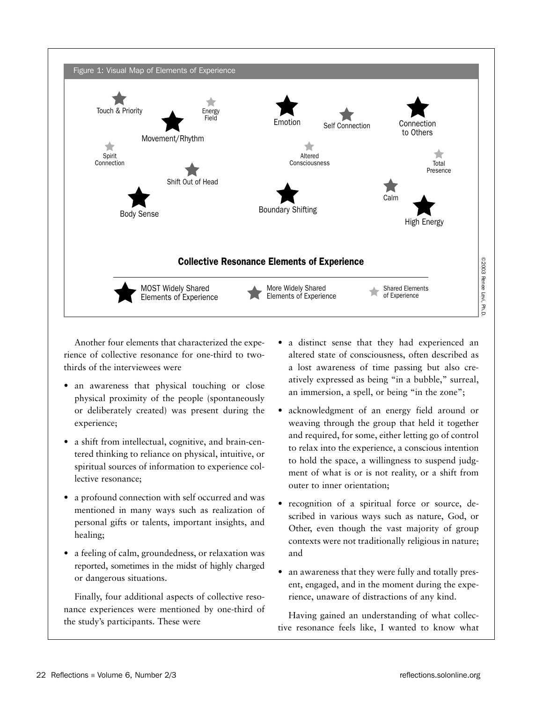

Another four elements that characterized the experience of collective resonance for one-third to twothirds of the interviewees were

- an awareness that physical touching or close physical proximity of the people (spontaneously or deliberately created) was present during the experience;
- a shift from intellectual, cognitive, and brain-centered thinking to reliance on physical, intuitive, or spiritual sources of information to experience collective resonance;
- a profound connection with self occurred and was mentioned in many ways such as realization of personal gifts or talents, important insights, and healing;
- a feeling of calm, groundedness, or relaxation was reported, sometimes in the midst of highly charged or dangerous situations.

Finally, four additional aspects of collective resonance experiences were mentioned by one-third of the study's participants. These were

- a distinct sense that they had experienced an altered state of consciousness, often described as a lost awareness of time passing but also creatively expressed as being "in a bubble," surreal, an immersion, a spell, or being "in the zone";
- acknowledgment of an energy field around or weaving through the group that held it together and required, for some, either letting go of control to relax into the experience, a conscious intention to hold the space, a willingness to suspend judgment of what is or is not reality, or a shift from outer to inner orientation;
- recognition of a spiritual force or source, described in various ways such as nature, God, or Other, even though the vast majority of group contexts were not traditionally religious in nature; and
- an awareness that they were fully and totally present, engaged, and in the moment during the experience, unaware of distractions of any kind.

Having gained an understanding of what collective resonance feels like, I wanted to know what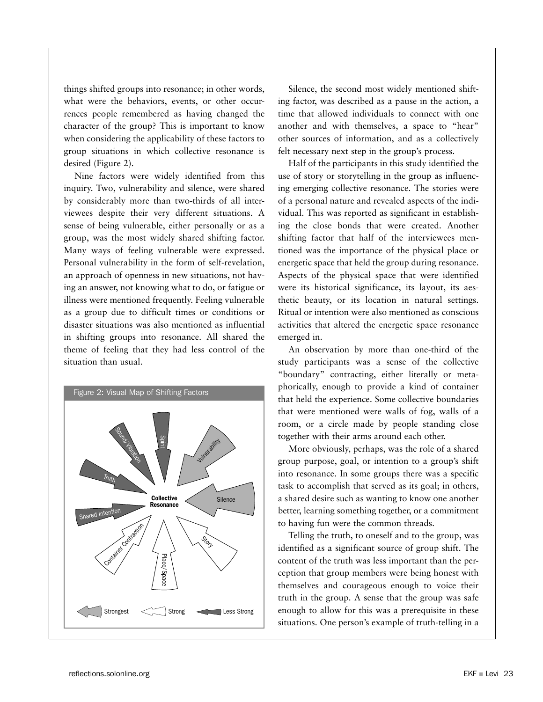things shifted groups into resonance; in other words, what were the behaviors, events, or other occurrences people remembered as having changed the character of the group? This is important to know when considering the applicability of these factors to group situations in which collective resonance is desired (Figure 2).

Nine factors were widely identified from this inquiry. Two, vulnerability and silence, were shared by considerably more than two-thirds of all interviewees despite their very different situations. A sense of being vulnerable, either personally or as a group, was the most widely shared shifting factor. Many ways of feeling vulnerable were expressed. Personal vulnerability in the form of self-revelation, an approach of openness in new situations, not having an answer, not knowing what to do, or fatigue or illness were mentioned frequently. Feeling vulnerable as a group due to difficult times or conditions or disaster situations was also mentioned as influential in shifting groups into resonance. All shared the theme of feeling that they had less control of the situation than usual.



Silence, the second most widely mentioned shifting factor, was described as a pause in the action, a time that allowed individuals to connect with one another and with themselves, a space to "hear" other sources of information, and as a collectively felt necessary next step in the group's process.

Half of the participants in this study identified the use of story or storytelling in the group as influencing emerging collective resonance. The stories were of a personal nature and revealed aspects of the individual. This was reported as significant in establishing the close bonds that were created. Another shifting factor that half of the interviewees mentioned was the importance of the physical place or energetic space that held the group during resonance. Aspects of the physical space that were identified were its historical significance, its layout, its aesthetic beauty, or its location in natural settings. Ritual or intention were also mentioned as conscious activities that altered the energetic space resonance emerged in.

An observation by more than one-third of the study participants was a sense of the collective "boundary" contracting, either literally or metaphorically, enough to provide a kind of container that held the experience. Some collective boundaries that were mentioned were walls of fog, walls of a room, or a circle made by people standing close together with their arms around each other.

More obviously, perhaps, was the role of a shared group purpose, goal, or intention to a group's shift into resonance. In some groups there was a specific task to accomplish that served as its goal; in others, a shared desire such as wanting to know one another better, learning something together, or a commitment to having fun were the common threads.

Telling the truth, to oneself and to the group, was identified as a significant source of group shift. The content of the truth was less important than the perception that group members were being honest with themselves and courageous enough to voice their truth in the group. A sense that the group was safe enough to allow for this was a prerequisite in these situations. One person's example of truth-telling in a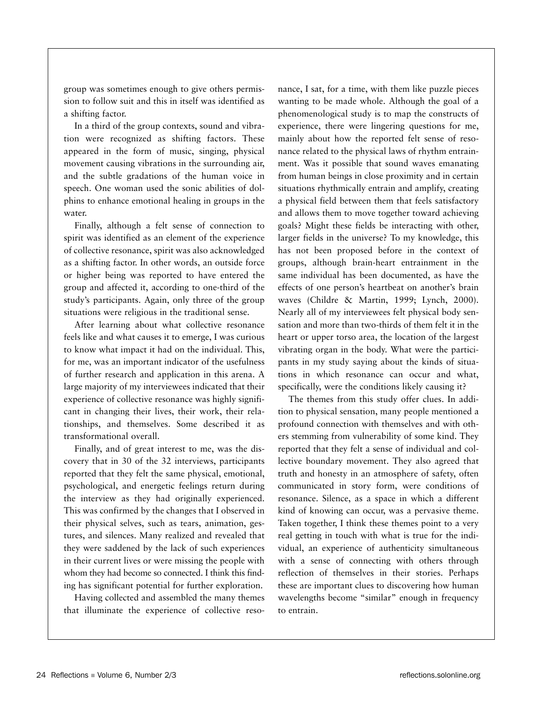group was sometimes enough to give others permission to follow suit and this in itself was identified as a shifting factor.

In a third of the group contexts, sound and vibration were recognized as shifting factors. These appeared in the form of music, singing, physical movement causing vibrations in the surrounding air, and the subtle gradations of the human voice in speech. One woman used the sonic abilities of dolphins to enhance emotional healing in groups in the water.

Finally, although a felt sense of connection to spirit was identified as an element of the experience of collective resonance, spirit was also acknowledged as a shifting factor. In other words, an outside force or higher being was reported to have entered the group and affected it, according to one-third of the study's participants. Again, only three of the group situations were religious in the traditional sense.

After learning about what collective resonance feels like and what causes it to emerge, I was curious to know what impact it had on the individual. This, for me, was an important indicator of the usefulness of further research and application in this arena. A large majority of my interviewees indicated that their experience of collective resonance was highly significant in changing their lives, their work, their relationships, and themselves. Some described it as transformational overall.

Finally, and of great interest to me, was the discovery that in 30 of the 32 interviews, participants reported that they felt the same physical, emotional, psychological, and energetic feelings return during the interview as they had originally experienced. This was confirmed by the changes that I observed in their physical selves, such as tears, animation, gestures, and silences. Many realized and revealed that they were saddened by the lack of such experiences in their current lives or were missing the people with whom they had become so connected. I think this finding has significant potential for further exploration.

Having collected and assembled the many themes that illuminate the experience of collective reso-

nance, I sat, for a time, with them like puzzle pieces wanting to be made whole. Although the goal of a phenomenological study is to map the constructs of experience, there were lingering questions for me, mainly about how the reported felt sense of resonance related to the physical laws of rhythm entrainment. Was it possible that sound waves emanating from human beings in close proximity and in certain situations rhythmically entrain and amplify, creating a physical field between them that feels satisfactory and allows them to move together toward achieving goals? Might these fields be interacting with other, larger fields in the universe? To my knowledge, this has not been proposed before in the context of groups, although brain-heart entrainment in the same individual has been documented, as have the effects of one person's heartbeat on another's brain waves (Childre & Martin, 1999; Lynch, 2000). Nearly all of my interviewees felt physical body sensation and more than two-thirds of them felt it in the heart or upper torso area, the location of the largest vibrating organ in the body. What were the participants in my study saying about the kinds of situations in which resonance can occur and what, specifically, were the conditions likely causing it?

The themes from this study offer clues. In addition to physical sensation, many people mentioned a profound connection with themselves and with others stemming from vulnerability of some kind. They reported that they felt a sense of individual and collective boundary movement. They also agreed that truth and honesty in an atmosphere of safety, often communicated in story form, were conditions of resonance. Silence, as a space in which a different kind of knowing can occur, was a pervasive theme. Taken together, I think these themes point to a very real getting in touch with what is true for the individual, an experience of authenticity simultaneous with a sense of connecting with others through reflection of themselves in their stories. Perhaps these are important clues to discovering how human wavelengths become "similar" enough in frequency to entrain.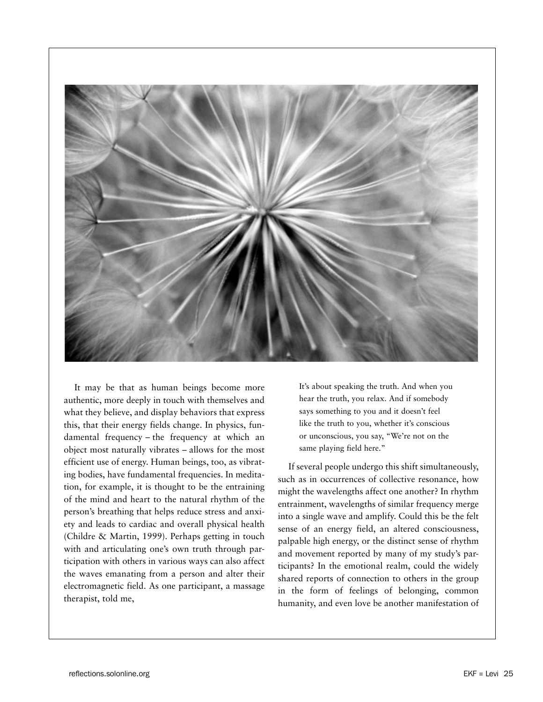

It may be that as human beings become more authentic, more deeply in touch with themselves and what they believe, and display behaviors that express this, that their energy fields change. In physics, fundamental frequency – the frequency at which an object most naturally vibrates – allows for the most efficient use of energy. Human beings, too, as vibrating bodies, have fundamental frequencies. In meditation, for example, it is thought to be the entraining of the mind and heart to the natural rhythm of the person's breathing that helps reduce stress and anxiety and leads to cardiac and overall physical health (Childre & Martin, 1999). Perhaps getting in touch with and articulating one's own truth through participation with others in various ways can also affect the waves emanating from a person and alter their electromagnetic field. As one participant, a massage therapist, told me,

It's about speaking the truth. And when you hear the truth, you relax. And if somebody says something to you and it doesn't feel like the truth to you, whether it's conscious or unconscious, you say, "We're not on the same playing field here."

If several people undergo this shift simultaneously, such as in occurrences of collective resonance, how might the wavelengths affect one another? In rhythm entrainment, wavelengths of similar frequency merge into a single wave and amplify. Could this be the felt sense of an energy field, an altered consciousness, palpable high energy, or the distinct sense of rhythm and movement reported by many of my study's participants? In the emotional realm, could the widely shared reports of connection to others in the group in the form of feelings of belonging, common humanity, and even love be another manifestation of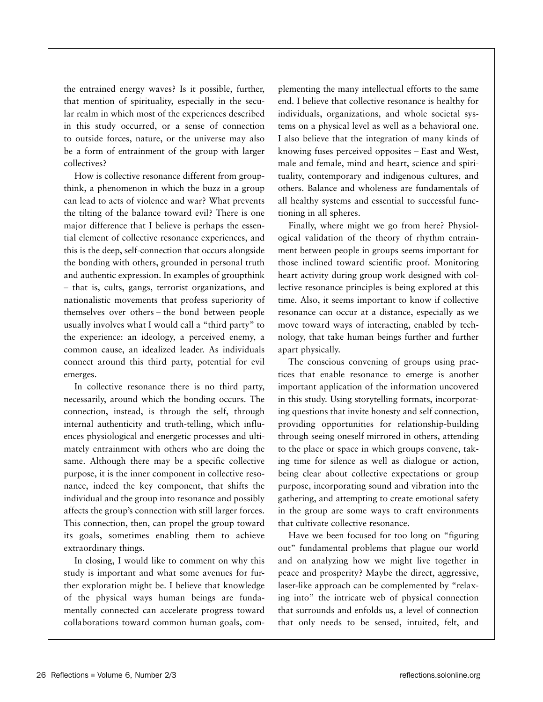the entrained energy waves? Is it possible, further, that mention of spirituality, especially in the secular realm in which most of the experiences described in this study occurred, or a sense of connection to outside forces, nature, or the universe may also be a form of entrainment of the group with larger collectives?

How is collective resonance different from groupthink, a phenomenon in which the buzz in a group can lead to acts of violence and war? What prevents the tilting of the balance toward evil? There is one major difference that I believe is perhaps the essential element of collective resonance experiences, and this is the deep, self-connection that occurs alongside the bonding with others, grounded in personal truth and authentic expression. In examples of groupthink – that is, cults, gangs, terrorist organizations, and nationalistic movements that profess superiority of themselves over others – the bond between people usually involves what I would call a "third party" to the experience: an ideology, a perceived enemy, a common cause, an idealized leader. As individuals connect around this third party, potential for evil emerges.

In collective resonance there is no third party, necessarily, around which the bonding occurs. The connection, instead, is through the self, through internal authenticity and truth-telling, which influences physiological and energetic processes and ultimately entrainment with others who are doing the same. Although there may be a specific collective purpose, it is the inner component in collective resonance, indeed the key component, that shifts the individual and the group into resonance and possibly affects the group's connection with still larger forces. This connection, then, can propel the group toward its goals, sometimes enabling them to achieve extraordinary things.

In closing, I would like to comment on why this study is important and what some avenues for further exploration might be. I believe that knowledge of the physical ways human beings are fundamentally connected can accelerate progress toward collaborations toward common human goals, complementing the many intellectual efforts to the same end. I believe that collective resonance is healthy for individuals, organizations, and whole societal systems on a physical level as well as a behavioral one. I also believe that the integration of many kinds of knowing fuses perceived opposites – East and West, male and female, mind and heart, science and spirituality, contemporary and indigenous cultures, and others. Balance and wholeness are fundamentals of all healthy systems and essential to successful functioning in all spheres.

Finally, where might we go from here? Physiological validation of the theory of rhythm entrainment between people in groups seems important for those inclined toward scientific proof. Monitoring heart activity during group work designed with collective resonance principles is being explored at this time. Also, it seems important to know if collective resonance can occur at a distance, especially as we move toward ways of interacting, enabled by technology, that take human beings further and further apart physically.

The conscious convening of groups using practices that enable resonance to emerge is another important application of the information uncovered in this study. Using storytelling formats, incorporating questions that invite honesty and self connection, providing opportunities for relationship-building through seeing oneself mirrored in others, attending to the place or space in which groups convene, taking time for silence as well as dialogue or action, being clear about collective expectations or group purpose, incorporating sound and vibration into the gathering, and attempting to create emotional safety in the group are some ways to craft environments that cultivate collective resonance.

Have we been focused for too long on "figuring out" fundamental problems that plague our world and on analyzing how we might live together in peace and prosperity? Maybe the direct, aggressive, laser-like approach can be complemented by "relaxing into" the intricate web of physical connection that surrounds and enfolds us, a level of connection that only needs to be sensed, intuited, felt, and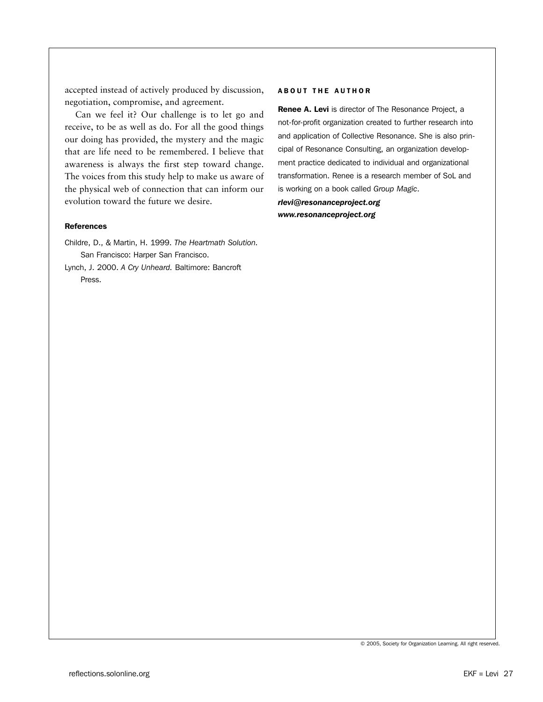accepted instead of actively produced by discussion, negotiation, compromise, and agreement.

Can we feel it? Our challenge is to let go and receive, to be as well as do. For all the good things our doing has provided, the mystery and the magic that are life need to be remembered. I believe that awareness is always the first step toward change. The voices from this study help to make us aware of the physical web of connection that can inform our evolution toward the future we desire.

## References

Childre, D., & Martin, H. 1999. *The Heartmath Solution.*  San Francisco: Harper San Francisco.

Lynch, J. 2000. *A Cry Unheard.* Baltimore: Bancroft Press.

#### ABOUT THE AUTHOR

Renee A. Levi is director of The Resonance Project, a not-for-profit organization created to further research into and application of Collective Resonance. She is also principal of Resonance Consulting, an organization development practice dedicated to individual and organizational transformation. Renee is a research member of SoL and is working on a book called *Group Magic*.

*rlevi@resonanceproject.org www.resonanceproject.org*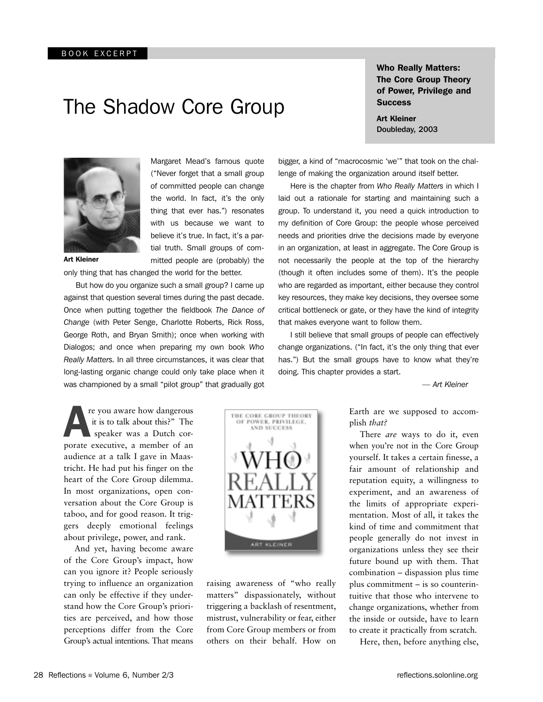## The Shadow Core Group

Who Really Matters: The Core Group Theory of Power, Privilege and

Art Kleiner



Margaret Mead's famous quote ("Never forget that a small group of committed people can change the world. In fact, it's the only thing that ever has.") resonates with us because we want to believe it's true. In fact, it's a partial truth. Small groups of committed people are (probably) the

Art Kleiner

only thing that has changed the world for the better.

 But how do you organize such a small group? I came up against that question several times during the past decade. Once when putting together the fieldbook *The Dance of Change* (with Peter Senge, Charlotte Roberts, Rick Ross, George Roth, and Bryan Smith); once when working with Dialogos; and once when preparing my own book *Who Really Matters.* In all three circumstances, it was clear that long-lasting organic change could only take place when it was championed by a small "pilot group" that gradually got

**A** re you aware how dangerous<br>it is to talk about this?" The<br>speaker was a Dutch cor-<br>porate executive, a member of an re you aware how dangerous it is to talk about this?" The speaker was a Dutch coraudience at a talk I gave in Maastricht. He had put his finger on the heart of the Core Group dilemma. In most organizations, open conversation about the Core Group is taboo, and for good reason. It triggers deeply emotional feelings about privilege, power, and rank.

And yet, having become aware of the Core Group's impact, how can you ignore it? People seriously trying to influence an organization can only be effective if they understand how the Core Group's priorities are perceived, and how those perceptions differ from the Core Group's actual intentions. That means

**Success** 

Doubleday, 2003

bigger, a kind of "macrocosmic 'we'" that took on the challenge of making the organization around itself better.

 Here is the chapter from *Who Really Matters* in which I laid out a rationale for starting and maintaining such a group. To understand it, you need a quick introduction to my definition of Core Group: the people whose perceived needs and priorities drive the decisions made by everyone in an organization, at least in aggregate. The Core Group is not necessarily the people at the top of the hierarchy (though it often includes some of them). It's the people who are regarded as important, either because they control key resources, they make key decisions, they oversee some critical bottleneck or gate, or they have the kind of integrity that makes everyone want to follow them.

 I still believe that small groups of people can effectively change organizations. ("In fact, it's the only thing that ever has.") But the small groups have to know what they're doing. This chapter provides a start.

*— Art Kleiner*

Earth are we supposed to accomplish *that?* 

There *are* ways to do it, even when you're not in the Core Group yourself. It takes a certain finesse, a fair amount of relationship and reputation equity, a willingness to experiment, and an awareness of the limits of appropriate experimentation. Most of all, it takes the kind of time and commitment that people generally do not invest in organizations unless they see their future bound up with them. That combination – dispassion plus time plus commitment – is so counterintuitive that those who intervene to change organizations, whether from the inside or outside, have to learn to create it practically from scratch.

Here, then, before anything else,



raising awareness of "who really matters" dispassionately, without triggering a backlash of resentment, mistrust, vulnerability or fear, either from Core Group members or from others on their behalf. How on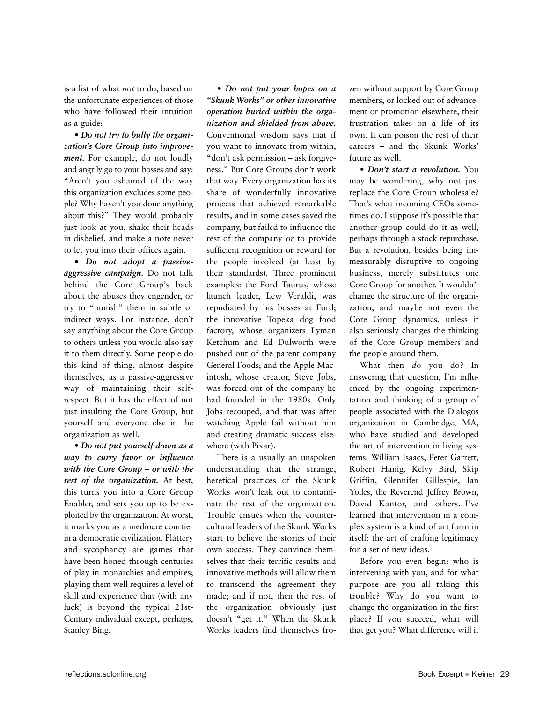is a list of what *not* to do, based on the unfortunate experiences of those who have followed their intuition as a guide:

• *Do not try to bully the organization's Core Group into improvement.* For example, do not loudly and angrily go to your bosses and say: "Aren't you ashamed of the way this organization excludes some people? Why haven't you done anything about this?" They would probably just look at you, shake their heads in disbelief, and make a note never to let you into their offices again.

• *Do not adopt a passiveaggressive campaign.* Do not talk behind the Core Group's back about the abuses they engender, or try to "punish" them in subtle or indirect ways. For instance, don't say anything about the Core Group to others unless you would also say it to them directly. Some people do this kind of thing, almost despite themselves, as a passive-aggressive way of maintaining their selfrespect. But it has the effect of not just insulting the Core Group, but yourself and everyone else in the organization as well.

• *Do not put yourself down as a way to curry favor or influence with the Core Group – or with the rest of the organization.* At best, this turns you into a Core Group Enabler, and sets you up to be exploited by the organization. At worst, it marks you as a mediocre courtier in a democratic civilization. Flattery and sycophancy are games that have been honed through centuries of play in monarchies and empires; playing them well requires a level of skill and experience that (with any luck) is beyond the typical 21st-Century individual except, perhaps, Stanley Bing.

• *Do not put your hopes on a "Skunk Works" or other innovative operation buried within the organization and shielded from above.* Conventional wisdom says that if you want to innovate from within, "don't ask permission – ask forgiveness." But Core Groups don't work that way. Every organization has its share of wonderfully innovative projects that achieved remarkable results, and in some cases saved the company, but failed to influence the rest of the company *or* to provide sufficient recognition or reward for the people involved (at least by their standards). Three prominent examples: the Ford Taurus, whose launch leader, Lew Veraldi, was repudiated by his bosses at Ford; the innovative Topeka dog food factory, whose organizers Lyman Ketchum and Ed Dulworth were pushed out of the parent company General Foods; and the Apple Macintosh, whose creator, Steve Jobs, was forced out of the company he had founded in the 1980s. Only Jobs recouped, and that was after watching Apple fail without him and creating dramatic success elsewhere (with Pixar).

There is a usually an unspoken understanding that the strange, heretical practices of the Skunk Works won't leak out to contaminate the rest of the organization. Trouble ensues when the countercultural leaders of the Skunk Works start to believe the stories of their own success. They convince themselves that their terrific results and innovative methods will allow them to transcend the agreement they made; and if not, then the rest of the organization obviously just doesn't "get it." When the Skunk Works leaders find themselves frozen without support by Core Group members, or locked out of advancement or promotion elsewhere, their frustration takes on a life of its own. It can poison the rest of their careers – and the Skunk Works' future as well.

• *Don't start a revolution.* You may be wondering, why not just replace the Core Group wholesale? That's what incoming CEOs sometimes do. I suppose it's possible that another group could do it as well, perhaps through a stock repurchase. But a revolution, besides being immeasurably disruptive to ongoing business, merely substitutes one Core Group for another. It wouldn't change the structure of the organization, and maybe not even the Core Group dynamics, unless it also seriously changes the thinking of the Core Group members and the people around them.

What then *do* you do? In answering that question, I'm influenced by the ongoing experimentation and thinking of a group of people associated with the Dialogos organization in Cambridge, MA, who have studied and developed the art of intervention in living systems: William Isaacs, Peter Garrett, Robert Hanig, Kelvy Bird, Skip Griffin, Glennifer Gillespie, Ian Yolles, the Reverend Jeffrey Brown, David Kantor, and others. I've learned that intervention in a complex system is a kind of art form in itself: the art of crafting legitimacy for a set of new ideas.

Before you even begin: who is intervening with you, and for what purpose are you all taking this trouble? Why do you want to change the organization in the first place? If you succeed, what will that get you? What difference will it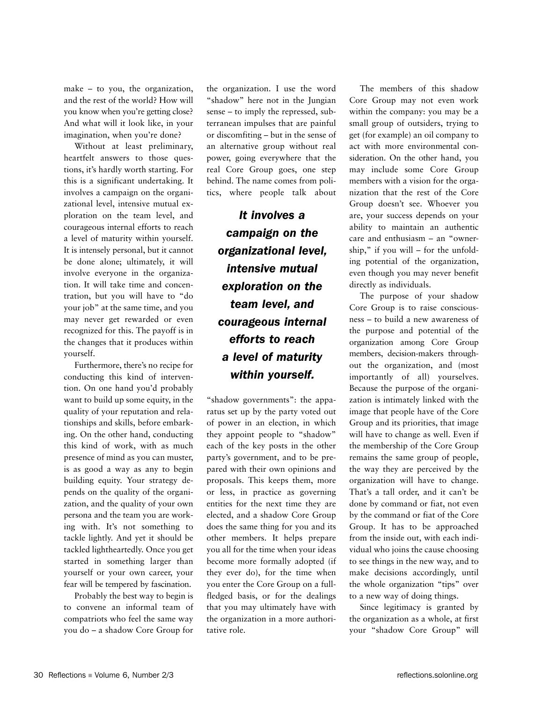make – to you, the organization, and the rest of the world? How will you know when you're getting close? And what will it look like, in your imagination, when you're done?

Without at least preliminary, heartfelt answers to those questions, it's hardly worth starting. For this is a significant undertaking. It involves a campaign on the organizational level, intensive mutual exploration on the team level, and courageous internal efforts to reach a level of maturity within yourself. It is intensely personal, but it cannot be done alone; ultimately, it will involve everyone in the organization. It will take time and concentration, but you will have to "do your job" at the same time, and you may never get rewarded or even recognized for this. The payoff is in the changes that it produces within yourself.

Furthermore, there's no recipe for conducting this kind of intervention. On one hand you'd probably want to build up some equity, in the quality of your reputation and relationships and skills, before embarking. On the other hand, conducting this kind of work, with as much presence of mind as you can muster, is as good a way as any to begin building equity. Your strategy depends on the quality of the organization, and the quality of your own persona and the team you are working with. It's not something to tackle lightly. And yet it should be tackled lightheartedly. Once you get started in something larger than yourself or your own career, your fear will be tempered by fascination.

Probably the best way to begin is to convene an informal team of compatriots who feel the same way you do – a shadow Core Group for the organization. I use the word "shadow" here not in the Jungian sense – to imply the repressed, subterranean impulses that are painful or discomfiting – but in the sense of an alternative group without real power, going everywhere that the real Core Group goes, one step behind. The name comes from politics, where people talk about

*It involves a campaign on the organizational level, intensive mutual exploration on the team level, and courageous internal efforts to reach a level of maturity within yourself.*

"shadow governments": the apparatus set up by the party voted out of power in an election, in which they appoint people to "shadow" each of the key posts in the other party's government, and to be prepared with their own opinions and proposals. This keeps them, more or less, in practice as governing entities for the next time they are elected, and a shadow Core Group does the same thing for you and its other members. It helps prepare you all for the time when your ideas become more formally adopted (if they ever do), for the time when you enter the Core Group on a fullfledged basis, or for the dealings that you may ultimately have with the organization in a more authoritative role.

The members of this shadow Core Group may not even work within the company: you may be a small group of outsiders, trying to get (for example) an oil company to act with more environmental consideration. On the other hand, you may include some Core Group members with a vision for the organization that the rest of the Core Group doesn't see. Whoever you are, your success depends on your ability to maintain an authentic care and enthusiasm – an "ownership," if you will – for the unfolding potential of the organization, even though you may never benefit directly as individuals.

The purpose of your shadow Core Group is to raise consciousness – to build a new awareness of the purpose and potential of the organization among Core Group members, decision-makers throughout the organization, and (most importantly of all) yourselves. Because the purpose of the organization is intimately linked with the image that people have of the Core Group and its priorities, that image will have to change as well. Even if the membership of the Core Group remains the same group of people, the way they are perceived by the organization will have to change. That's a tall order, and it can't be done by command or fiat, not even by the command or fiat of the Core Group. It has to be approached from the inside out, with each individual who joins the cause choosing to see things in the new way, and to make decisions accordingly, until the whole organization "tips" over to a new way of doing things.

Since legitimacy is granted by the organization as a whole, at first your "shadow Core Group" will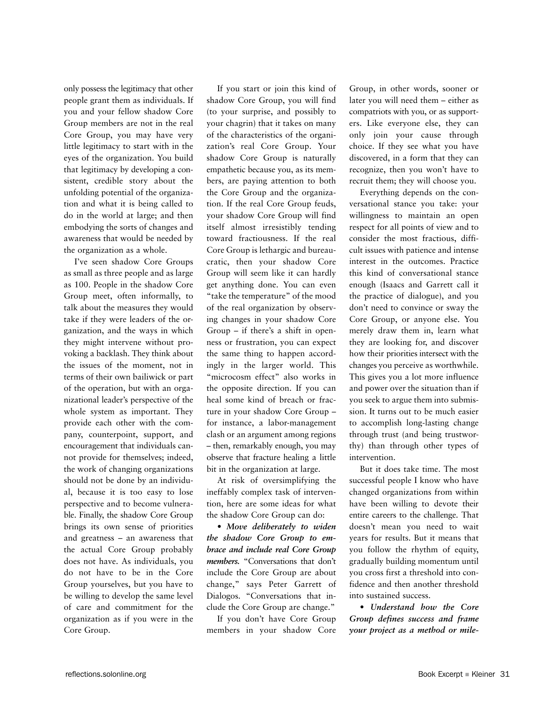only possess the legitimacy that other people grant them as individuals. If you and your fellow shadow Core Group members are not in the real Core Group, you may have very little legitimacy to start with in the eyes of the organization. You build that legitimacy by developing a consistent, credible story about the unfolding potential of the organization and what it is being called to do in the world at large; and then embodying the sorts of changes and awareness that would be needed by the organization as a whole.

I've seen shadow Core Groups as small as three people and as large as 100. People in the shadow Core Group meet, often informally, to talk about the measures they would take if they were leaders of the organization, and the ways in which they might intervene without provoking a backlash. They think about the issues of the moment, not in terms of their own bailiwick or part of the operation, but with an organizational leader's perspective of the whole system as important. They provide each other with the company, counterpoint, support, and encouragement that individuals cannot provide for themselves; indeed, the work of changing organizations should not be done by an individual, because it is too easy to lose perspective and to become vulnerable. Finally, the shadow Core Group brings its own sense of priorities and greatness – an awareness that the actual Core Group probably does not have. As individuals, you do not have to be in the Core Group yourselves, but you have to be willing to develop the same level of care and commitment for the organization as if you were in the Core Group.

If you start or join this kind of shadow Core Group, you will find (to your surprise, and possibly to your chagrin) that it takes on many of the characteristics of the organization's real Core Group. Your shadow Core Group is naturally empathetic because you, as its members, are paying attention to both the Core Group and the organization. If the real Core Group feuds, your shadow Core Group will find itself almost irresistibly tending toward fractiousness. If the real Core Group is lethargic and bureaucratic, then your shadow Core Group will seem like it can hardly get anything done. You can even "take the temperature" of the mood of the real organization by observing changes in your shadow Core Group – if there's a shift in openness or frustration, you can expect the same thing to happen accordingly in the larger world. This "microcosm effect" also works in the opposite direction. If you can heal some kind of breach or fracture in your shadow Core Group – for instance, a labor-management clash or an argument among regions – then, remarkably enough, you may observe that fracture healing a little bit in the organization at large.

At risk of oversimplifying the ineffably complex task of intervention, here are some ideas for what the shadow Core Group can do:

**•** *Move deliberately to widen the shadow Core Group to embrace and include real Core Group members.* "Conversations that don't include the Core Group are about change," says Peter Garrett of Dialogos. "Conversations that include the Core Group are change."

If you don't have Core Group members in your shadow Core Group, in other words, sooner or later you will need them – either as compatriots with you, or as supporters. Like everyone else, they can only join your cause through choice. If they see what you have discovered, in a form that they can recognize, then you won't have to recruit them; they will choose you.

Everything depends on the conversational stance you take: your willingness to maintain an open respect for all points of view and to consider the most fractious, difficult issues with patience and intense interest in the outcomes. Practice this kind of conversational stance enough (Isaacs and Garrett call it the practice of dialogue), and you don't need to convince or sway the Core Group, or anyone else. You merely draw them in, learn what they are looking for, and discover how their priorities intersect with the changes you perceive as worthwhile. This gives you a lot more influence and power over the situation than if you seek to argue them into submission. It turns out to be much easier to accomplish long-lasting change through trust (and being trustworthy) than through other types of intervention.

But it does take time. The most successful people I know who have changed organizations from within have been willing to devote their entire careers to the challenge. That doesn't mean you need to wait years for results. But it means that you follow the rhythm of equity, gradually building momentum until you cross first a threshold into confidence and then another threshold into sustained success.

**•** *Understand how the Core Group defines success and frame your project as a method or mile-*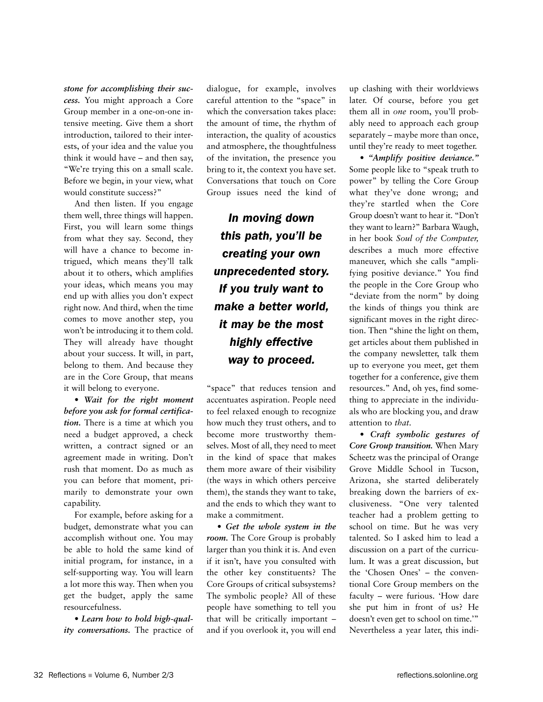*stone for accomplishing their success.* You might approach a Core Group member in a one-on-one intensive meeting. Give them a short introduction, tailored to their interests, of your idea and the value you think it would have – and then say, "We're trying this on a small scale. Before we begin, in your view, what would constitute success?"

And then listen. If you engage them well, three things will happen. First, you will learn some things from what they say. Second, they will have a chance to become intrigued, which means they'll talk about it to others, which amplifies your ideas, which means you may end up with allies you don't expect right now. And third, when the time comes to move another step, you won't be introducing it to them cold. They will already have thought about your success. It will, in part, belong to them. And because they are in the Core Group, that means it will belong to everyone.

**•** *Wait for the right moment before you ask for formal certification.* There is a time at which you need a budget approved, a check written, a contract signed or an agreement made in writing. Don't rush that moment. Do as much as you can before that moment, primarily to demonstrate your own capability.

For example, before asking for a budget, demonstrate what you can accomplish without one. You may be able to hold the same kind of initial program, for instance, in a self-supporting way. You will learn a lot more this way. Then when you get the budget, apply the same resourcefulness.

**•** *Learn how to hold high-quality conversations.* The practice of dialogue, for example, involves careful attention to the "space" in which the conversation takes place: the amount of time, the rhythm of interaction, the quality of acoustics and atmosphere, the thoughtfulness of the invitation, the presence you bring to it, the context you have set. Conversations that touch on Core Group issues need the kind of

*In moving down this path, you'll be creating your own unprecedented story. If you truly want to make a better world, it may be the most highly effective way to proceed.*

"space" that reduces tension and accentuates aspiration. People need to feel relaxed enough to recognize how much they trust others, and to become more trustworthy themselves. Most of all, they need to meet in the kind of space that makes them more aware of their visibility (the ways in which others perceive them), the stands they want to take, and the ends to which they want to make a commitment.

**•** *Get the whole system in the room.* The Core Group is probably larger than you think it is. And even if it isn't, have you consulted with the other key constituents? The Core Groups of critical subsystems? The symbolic people? All of these people have something to tell you that will be critically important – and if you overlook it, you will end up clashing with their worldviews later. Of course, before you get them all in *one* room, you'll probably need to approach each group separately – maybe more than once, until they're ready to meet together.

**•** *"Amplify positive deviance."* Some people like to "speak truth to power" by telling the Core Group what they've done wrong; and they're startled when the Core Group doesn't want to hear it. "Don't they want to learn?" Barbara Waugh, in her book *Soul of the Computer,*  describes a much more effective maneuver, which she calls "amplifying positive deviance." You find the people in the Core Group who "deviate from the norm" by doing the kinds of things you think are significant moves in the right direction. Then "shine the light on them, get articles about them published in the company newsletter, talk them up to everyone you meet, get them together for a conference, give them resources." And, oh yes, find something to appreciate in the individuals who are blocking you, and draw attention to *that.* 

**•** *Craft symbolic gestures of Core Group transition.* When Mary Scheetz was the principal of Orange Grove Middle School in Tucson, Arizona, she started deliberately breaking down the barriers of exclusiveness. "One very talented teacher had a problem getting to school on time. But he was very talented. So I asked him to lead a discussion on a part of the curriculum. It was a great discussion, but the 'Chosen Ones' – the conventional Core Group members on the faculty – were furious. 'How dare she put him in front of us? He doesn't even get to school on time.'" Nevertheless a year later, this indi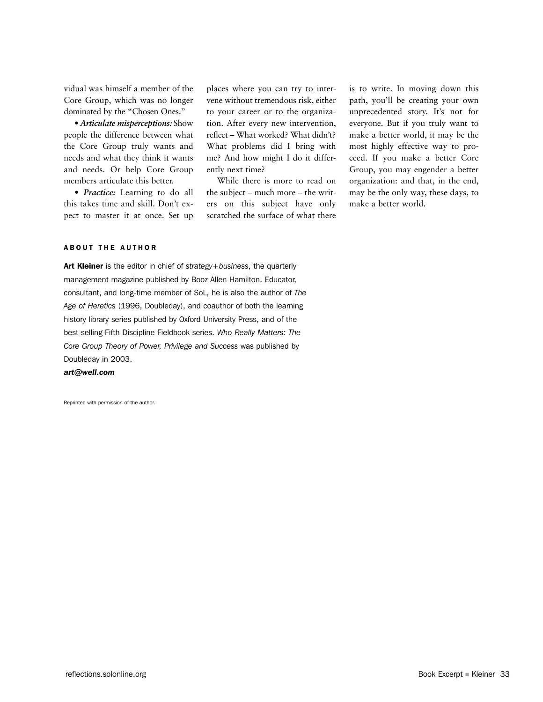vidual was himself a member of the Core Group, which was no longer dominated by the "Chosen Ones."

**•** *Articulate misperceptions:* Show people the difference between what the Core Group truly wants and needs and what they think it wants and needs. Or help Core Group members articulate this better.

**•** *Practice:* Learning to do all this takes time and skill. Don't expect to master it at once. Set up places where you can try to intervene without tremendous risk, either to your career or to the organization. After every new intervention, reflect – What worked? What didn't? What problems did I bring with me? And how might I do it differently next time?

While there is more to read on the subject – much more – the writers on this subject have only scratched the surface of what there is to write. In moving down this path, you'll be creating your own unprecedented story. It's not for everyone. But if you truly want to make a better world, it may be the most highly effective way to proceed. If you make a better Core Group, you may engender a better organization: and that, in the end, may be the only way, these days, to make a better world.

#### ABOUT THE AUTHOR

Art Kleiner is the editor in chief of *strategy+business*, the quarterly management magazine published by Booz Allen Hamilton. Educator, consultant, and long-time member of SoL, he is also the author of *The Age of Heretics* (1996, Doubleday), and coauthor of both the learning history library series published by Oxford University Press, and of the best-selling Fifth Discipline Fieldbook series. *Who Really Matters: The Core Group Theory of Power, Privilege and Success* was published by Doubleday in 2003.

*art@well.com*

Reprinted with permission of the author.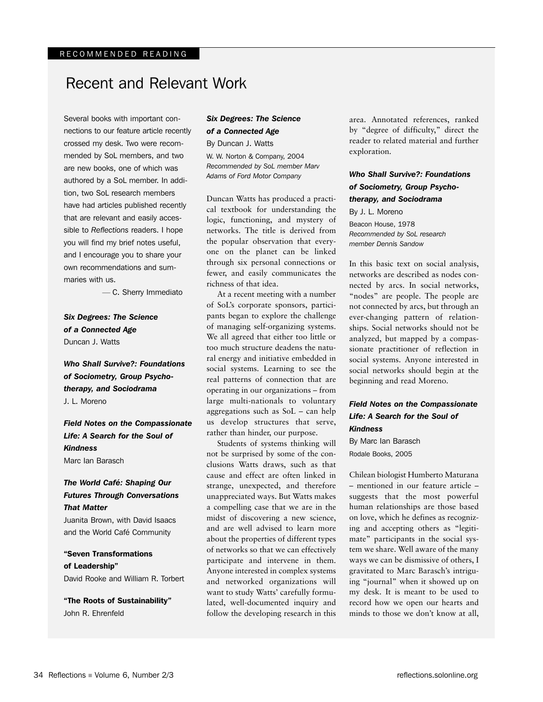## Recent and Relevant Work

Several books with important connections to our feature article recently crossed my desk. Two were recommended by SoL members, and two are new books, one of which was authored by a SoL member. In addition, two SoL research members have had articles published recently that are relevant and easily accessible to *Reflections* readers. I hope you will find my brief notes useful, and I encourage you to share your own recommendations and summaries with us.

— C. Sherry Immediato

*Six Degrees: The Science of a Connected Age* Duncan J. Watts

*Who Shall Survive?: Foundations of Sociometry, Group Psychotherapy, and Sociodrama* J. L. Moreno

*Field Notes on the Compassionate Life: A Search for the Soul of Kindness* Marc Ian Barasch

*The World Café: Shaping Our Futures Through Conversations That Matter*

Juanita Brown, with David Isaacs and the World Café Community

"Seven Transformations of Leadership" David Rooke and William R. Torbert

"The Roots of Sustainability" John R. Ehrenfeld

## *Six Degrees: The Science of a Connected Age* By Duncan J. Watts

W. W. Norton & Company, 2004 *Recommended by SoL member Marv Adams of Ford Motor Company*

Duncan Watts has produced a practical textbook for understanding the logic, functioning, and mystery of networks. The title is derived from the popular observation that everyone on the planet can be linked through six personal connections or fewer, and easily communicates the richness of that idea.

At a recent meeting with a number of SoL's corporate sponsors, participants began to explore the challenge of managing self-organizing systems. We all agreed that either too little or too much structure deadens the natural energy and initiative embedded in social systems. Learning to see the real patterns of connection that are operating in our organizations – from large multi-nationals to voluntary aggregations such as SoL – can help us develop structures that serve, rather than hinder, our purpose.

Students of systems thinking will not be surprised by some of the conclusions Watts draws, such as that cause and effect are often linked in strange, unexpected, and therefore unappreciated ways. But Watts makes a compelling case that we are in the midst of discovering a new science, and are well advised to learn more about the properties of different types of networks so that we can effectively participate and intervene in them. Anyone interested in complex systems and networked organizations will want to study Watts' carefully formulated, well-documented inquiry and follow the developing research in this

area. Annotated references, ranked by "degree of difficulty," direct the reader to related material and further exploration.

## *Who Shall Survive?: Foundations of Sociometry, Group Psychotherapy, and Sociodrama*

By J. L. Moreno Beacon House, 1978 *Recommended by SoL research member Dennis Sandow*

In this basic text on social analysis, networks are described as nodes connected by arcs. In social networks, "nodes" are people. The people are not connected by arcs, but through an ever-changing pattern of relationships. Social networks should not be analyzed, but mapped by a compassionate practitioner of reflection in social systems. Anyone interested in social networks should begin at the beginning and read Moreno.

## *Field Notes on the Compassionate Life: A Search for the Soul of Kindness*

By Marc Ian Barasch Rodale Books, 2005

Chilean biologist Humberto Maturana – mentioned in our feature article – suggests that the most powerful human relationships are those based on love, which he defines as recognizing and accepting others as "legitimate" participants in the social system we share. Well aware of the many ways we can be dismissive of others, I gravitated to Marc Barasch's intriguing "journal" when it showed up on my desk. It is meant to be used to record how we open our hearts and minds to those we don't know at all,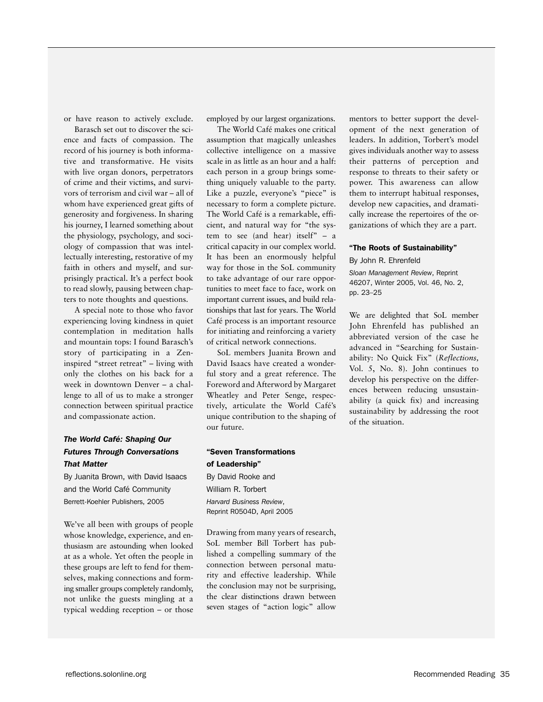or have reason to actively exclude.

Barasch set out to discover the science and facts of compassion. The record of his journey is both informative and transformative. He visits with live organ donors, perpetrators of crime and their victims, and survivors of terrorism and civil war – all of whom have experienced great gifts of generosity and forgiveness. In sharing his journey, I learned something about the physiology, psychology, and sociology of compassion that was intellectually interesting, restorative of my faith in others and myself, and surprisingly practical. It's a perfect book to read slowly, pausing between chapters to note thoughts and questions.

A special note to those who favor experiencing loving kindness in quiet contemplation in meditation halls and mountain tops: I found Barasch's story of participating in a Zeninspired "street retreat" – living with only the clothes on his back for a week in downtown Denver – a challenge to all of us to make a stronger connection between spiritual practice and compassionate action.

## *The World Café: Shaping Our Futures Through Conversations That Matter*

By Juanita Brown, with David Isaacs and the World Café Community Berrett-Koehler Publishers, 2005

We've all been with groups of people whose knowledge, experience, and enthusiasm are astounding when looked at as a whole. Yet often the people in these groups are left to fend for themselves, making connections and forming smaller groups completely randomly, not unlike the guests mingling at a typical wedding reception – or those

employed by our largest organizations.

The World Café makes one critical assumption that magically unleashes collective intelligence on a massive scale in as little as an hour and a half: each person in a group brings something uniquely valuable to the party. Like a puzzle, everyone's "piece" is necessary to form a complete picture. The World Café is a remarkable, efficient, and natural way for "the system to see (and hear) itself" – a critical capacity in our complex world. It has been an enormously helpful way for those in the SoL community to take advantage of our rare opportunities to meet face to face, work on important current issues, and build relationships that last for years. The World Café process is an important resource for initiating and reinforcing a variety of critical network connections.

SoL members Juanita Brown and David Isaacs have created a wonderful story and a great reference. The Foreword and Afterword by Margaret Wheatley and Peter Senge, respectively, articulate the World Café's unique contribution to the shaping of our future.

"Seven Transformations of Leadership" By David Rooke and William R. Torbert *Harvard Business Review*, Reprint R0504D, April 2005

Drawing from many years of research, SoL member Bill Torbert has published a compelling summary of the connection between personal maturity and effective leadership. While the conclusion may not be surprising, the clear distinctions drawn between seven stages of "action logic" allow

mentors to better support the development of the next generation of leaders. In addition, Torbert's model gives individuals another way to assess their patterns of perception and response to threats to their safety or power. This awareness can allow them to interrupt habitual responses, develop new capacities, and dramatically increase the repertoires of the organizations of which they are a part.

## "The Roots of Sustainability"

By John R. Ehrenfeld

*Sloan Management Review*, Reprint 46207, Winter 2005, Vol. 46, No. 2, pp. 23–25

We are delighted that SoL member John Ehrenfeld has published an abbreviated version of the case he advanced in "Searching for Sustainability: No Quick Fix" (*Reflections,* Vol. 5, No. 8). John continues to develop his perspective on the differences between reducing unsustainability (a quick fix) and increasing sustainability by addressing the root of the situation.